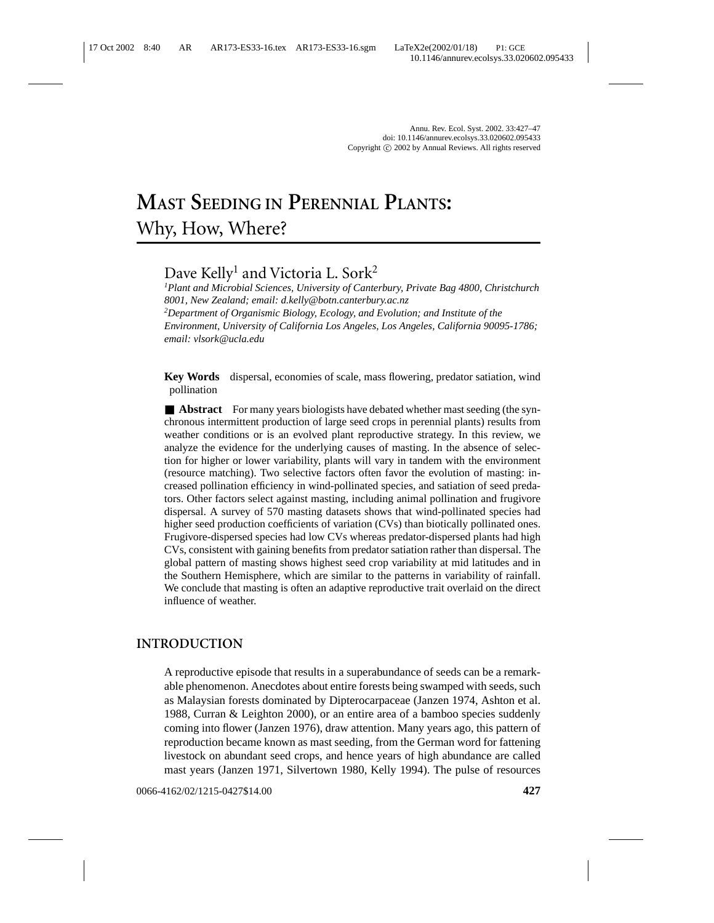# **MAST SEEDING IN PERENNIAL PLANTS:** Why, How, Where?

## Dave Kelly<sup>1</sup> and Victoria L. Sork<sup>2</sup>

*1 Plant and Microbial Sciences, University of Canterbury, Private Bag 4800, Christchurch 8001, New Zealand; email: d.kelly@botn.canterbury.ac.nz 2 Department of Organismic Biology, Ecology, and Evolution; and Institute of the Environment, University of California Los Angeles, Los Angeles, California 90095-1786; email: vlsork@ucla.edu*

**Key Words** dispersal, economies of scale, mass flowering, predator satiation, wind pollination

■ **Abstract** For many years biologists have debated whether mast seeding (the synchronous intermittent production of large seed crops in perennial plants) results from weather conditions or is an evolved plant reproductive strategy. In this review, we analyze the evidence for the underlying causes of masting. In the absence of selection for higher or lower variability, plants will vary in tandem with the environment (resource matching). Two selective factors often favor the evolution of masting: increased pollination efficiency in wind-pollinated species, and satiation of seed predators. Other factors select against masting, including animal pollination and frugivore dispersal. A survey of 570 masting datasets shows that wind-pollinated species had higher seed production coefficients of variation (CVs) than biotically pollinated ones. Frugivore-dispersed species had low CVs whereas predator-dispersed plants had high CVs, consistent with gaining benefits from predator satiation rather than dispersal. The global pattern of masting shows highest seed crop variability at mid latitudes and in the Southern Hemisphere, which are similar to the patterns in variability of rainfall. We conclude that masting is often an adaptive reproductive trait overlaid on the direct influence of weather.

## **INTRODUCTION**

A reproductive episode that results in a superabundance of seeds can be a remarkable phenomenon. Anecdotes about entire forests being swamped with seeds, such as Malaysian forests dominated by Dipterocarpaceae (Janzen 1974, Ashton et al. 1988, Curran & Leighton 2000), or an entire area of a bamboo species suddenly coming into flower (Janzen 1976), draw attention. Many years ago, this pattern of reproduction became known as mast seeding, from the German word for fattening livestock on abundant seed crops, and hence years of high abundance are called mast years (Janzen 1971, Silvertown 1980, Kelly 1994). The pulse of resources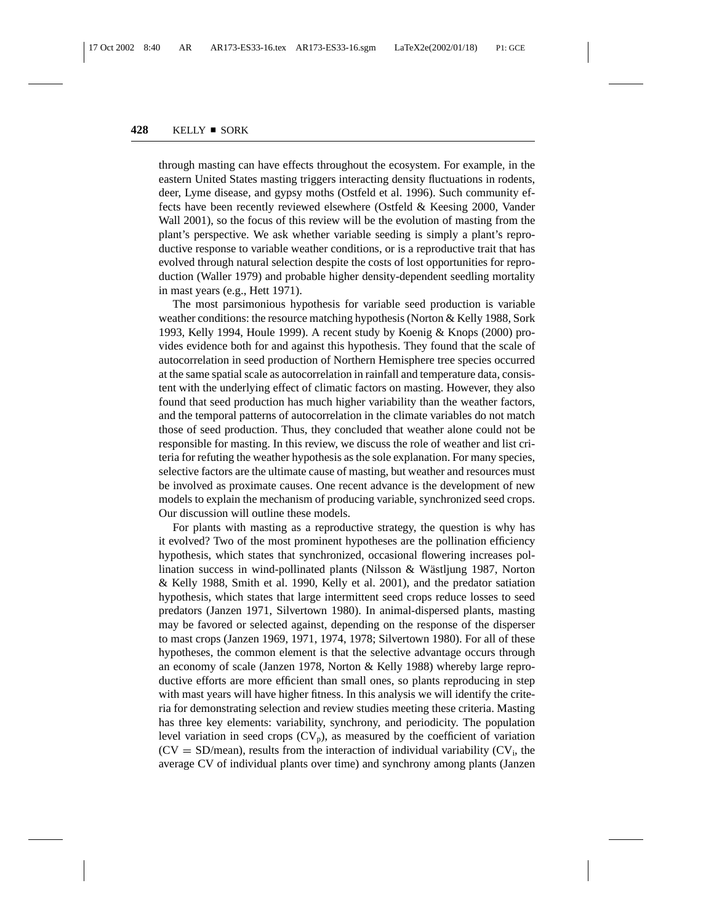through masting can have effects throughout the ecosystem. For example, in the eastern United States masting triggers interacting density fluctuations in rodents, deer, Lyme disease, and gypsy moths (Ostfeld et al. 1996). Such community effects have been recently reviewed elsewhere (Ostfeld & Keesing 2000, Vander Wall 2001), so the focus of this review will be the evolution of masting from the plant's perspective. We ask whether variable seeding is simply a plant's reproductive response to variable weather conditions, or is a reproductive trait that has evolved through natural selection despite the costs of lost opportunities for reproduction (Waller 1979) and probable higher density-dependent seedling mortality in mast years (e.g., Hett 1971).

The most parsimonious hypothesis for variable seed production is variable weather conditions: the resource matching hypothesis (Norton & Kelly 1988, Sork 1993, Kelly 1994, Houle 1999). A recent study by Koenig & Knops (2000) provides evidence both for and against this hypothesis. They found that the scale of autocorrelation in seed production of Northern Hemisphere tree species occurred at the same spatial scale as autocorrelation in rainfall and temperature data, consistent with the underlying effect of climatic factors on masting. However, they also found that seed production has much higher variability than the weather factors, and the temporal patterns of autocorrelation in the climate variables do not match those of seed production. Thus, they concluded that weather alone could not be responsible for masting. In this review, we discuss the role of weather and list criteria for refuting the weather hypothesis as the sole explanation. For many species, selective factors are the ultimate cause of masting, but weather and resources must be involved as proximate causes. One recent advance is the development of new models to explain the mechanism of producing variable, synchronized seed crops. Our discussion will outline these models.

For plants with masting as a reproductive strategy, the question is why has it evolved? Two of the most prominent hypotheses are the pollination efficiency hypothesis, which states that synchronized, occasional flowering increases pollination success in wind-pollinated plants (Nilsson  $&$  Wästliung 1987, Norton & Kelly 1988, Smith et al. 1990, Kelly et al. 2001), and the predator satiation hypothesis, which states that large intermittent seed crops reduce losses to seed predators (Janzen 1971, Silvertown 1980). In animal-dispersed plants, masting may be favored or selected against, depending on the response of the disperser to mast crops (Janzen 1969, 1971, 1974, 1978; Silvertown 1980). For all of these hypotheses, the common element is that the selective advantage occurs through an economy of scale (Janzen 1978, Norton & Kelly 1988) whereby large reproductive efforts are more efficient than small ones, so plants reproducing in step with mast years will have higher fitness. In this analysis we will identify the criteria for demonstrating selection and review studies meeting these criteria. Masting has three key elements: variability, synchrony, and periodicity. The population level variation in seed crops  $(CV_p)$ , as measured by the coefficient of variation  $(CV = SD/mean)$ , results from the interaction of individual variability  $(CV_i)$ , the average CV of individual plants over time) and synchrony among plants (Janzen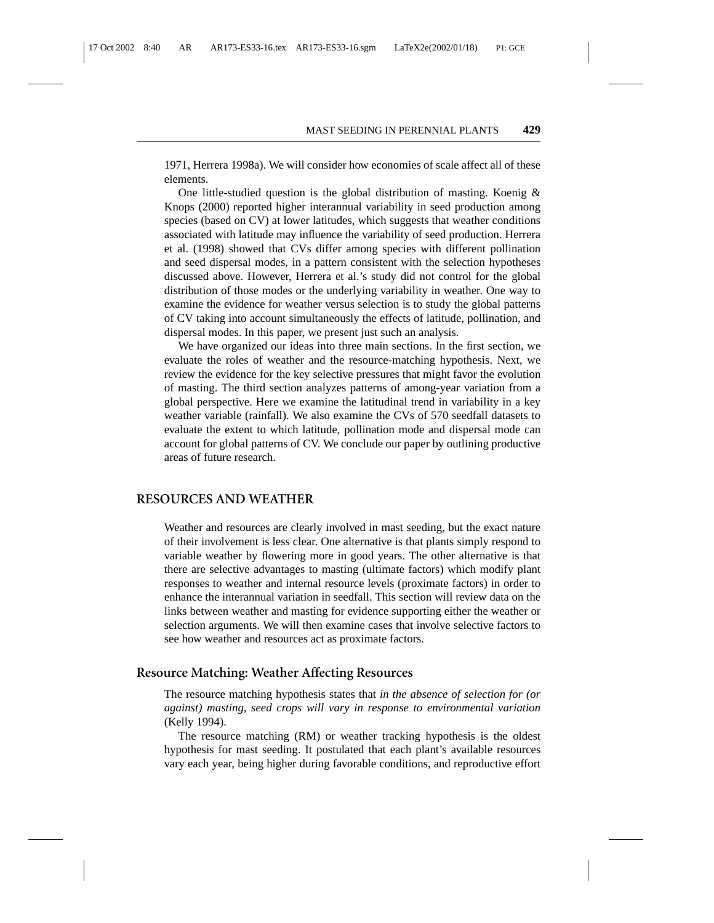1971, Herrera 1998a). We will consider how economies of scale affect all of these elements.

One little-studied question is the global distribution of masting. Koenig & Knops (2000) reported higher interannual variability in seed production among species (based on CV) at lower latitudes, which suggests that weather conditions associated with latitude may influence the variability of seed production. Herrera et al. (1998) showed that CVs differ among species with different pollination and seed dispersal modes, in a pattern consistent with the selection hypotheses discussed above. However, Herrera et al.'s study did not control for the global distribution of those modes or the underlying variability in weather. One way to examine the evidence for weather versus selection is to study the global patterns of CV taking into account simultaneously the effects of latitude, pollination, and dispersal modes. In this paper, we present just such an analysis.

We have organized our ideas into three main sections. In the first section, we evaluate the roles of weather and the resource-matching hypothesis. Next, we review the evidence for the key selective pressures that might favor the evolution of masting. The third section analyzes patterns of among-year variation from a global perspective. Here we examine the latitudinal trend in variability in a key weather variable (rainfall). We also examine the CVs of 570 seedfall datasets to evaluate the extent to which latitude, pollination mode and dispersal mode can account for global patterns of CV. We conclude our paper by outlining productive areas of future research.

## **RESOURCES AND WEATHER**

Weather and resources are clearly involved in mast seeding, but the exact nature of their involvement is less clear. One alternative is that plants simply respond to variable weather by flowering more in good years. The other alternative is that there are selective advantages to masting (ultimate factors) which modify plant responses to weather and internal resource levels (proximate factors) in order to enhance the interannual variation in seedfall. This section will review data on the links between weather and masting for evidence supporting either the weather or selection arguments. We will then examine cases that involve selective factors to see how weather and resources act as proximate factors.

#### **Resource Matching: Weather Affecting Resources**

The resource matching hypothesis states that *in the absence of selection for (or against) masting, seed crops will vary in response to environmental variation* (Kelly 1994).

The resource matching (RM) or weather tracking hypothesis is the oldest hypothesis for mast seeding. It postulated that each plant's available resources vary each year, being higher during favorable conditions, and reproductive effort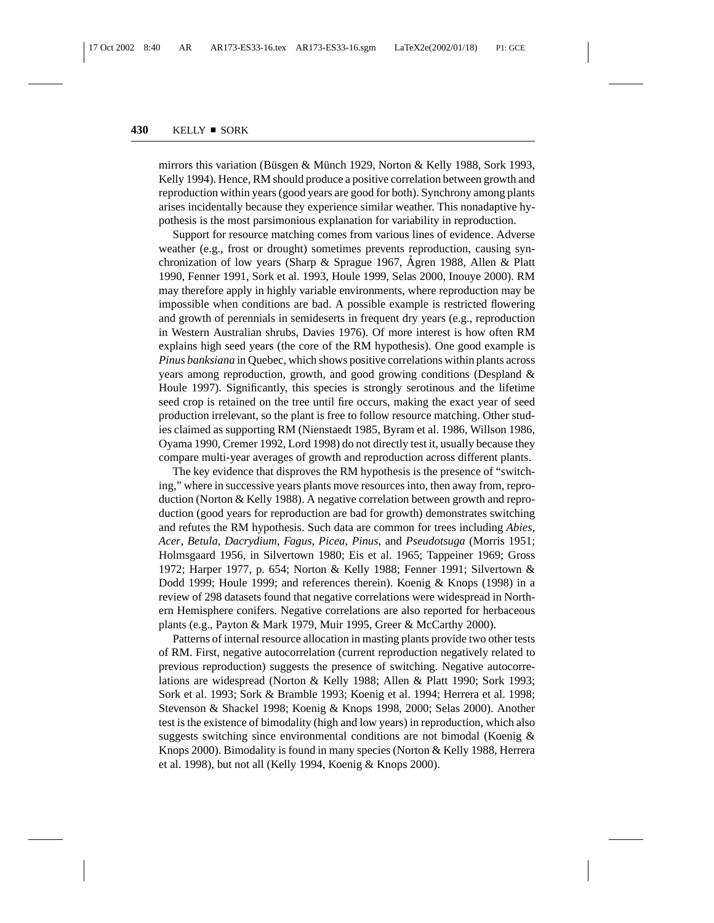mirrors this variation (Büsgen & Münch 1929, Norton & Kelly 1988, Sork 1993, Kelly 1994). Hence, RM should produce a positive correlation between growth and reproduction within years (good years are good for both). Synchrony among plants arises incidentally because they experience similar weather. This nonadaptive hypothesis is the most parsimonious explanation for variability in reproduction.

Support for resource matching comes from various lines of evidence. Adverse weather (e.g., frost or drought) sometimes prevents reproduction, causing synchronization of low years (Sharp & Sprague 1967, Ågren 1988, Allen & Platt 1990, Fenner 1991, Sork et al. 1993, Houle 1999, Selas 2000, Inouye 2000). RM may therefore apply in highly variable environments, where reproduction may be impossible when conditions are bad. A possible example is restricted flowering and growth of perennials in semideserts in frequent dry years (e.g., reproduction in Western Australian shrubs, Davies 1976). Of more interest is how often RM explains high seed years (the core of the RM hypothesis). One good example is *Pinus banksiana* in Quebec, which shows positive correlations within plants across years among reproduction, growth, and good growing conditions (Despland & Houle 1997). Significantly, this species is strongly serotinous and the lifetime seed crop is retained on the tree until fire occurs, making the exact year of seed production irrelevant, so the plant is free to follow resource matching. Other studies claimed as supporting RM (Nienstaedt 1985, Byram et al. 1986, Willson 1986, Oyama 1990, Cremer 1992, Lord 1998) do not directly test it, usually because they compare multi-year averages of growth and reproduction across different plants.

The key evidence that disproves the RM hypothesis is the presence of "switching," where in successive years plants move resources into, then away from, reproduction (Norton & Kelly 1988). A negative correlation between growth and reproduction (good years for reproduction are bad for growth) demonstrates switching and refutes the RM hypothesis. Such data are common for trees including *Abies*, *Acer*, *Betula*, *Dacrydium*, *Fagus*, *Picea*, *Pinus*, and *Pseudotsuga* (Morris 1951; Holmsgaard 1956, in Silvertown 1980; Eis et al. 1965; Tappeiner 1969; Gross 1972; Harper 1977, p. 654; Norton & Kelly 1988; Fenner 1991; Silvertown & Dodd 1999; Houle 1999; and references therein). Koenig & Knops (1998) in a review of 298 datasets found that negative correlations were widespread in Northern Hemisphere conifers. Negative correlations are also reported for herbaceous plants (e.g., Payton & Mark 1979, Muir 1995, Greer & McCarthy 2000).

Patterns of internal resource allocation in masting plants provide two other tests of RM. First, negative autocorrelation (current reproduction negatively related to previous reproduction) suggests the presence of switching. Negative autocorrelations are widespread (Norton & Kelly 1988; Allen & Platt 1990; Sork 1993; Sork et al. 1993; Sork & Bramble 1993; Koenig et al. 1994; Herrera et al. 1998; Stevenson & Shackel 1998; Koenig & Knops 1998, 2000; Selas 2000). Another test is the existence of bimodality (high and low years) in reproduction, which also suggests switching since environmental conditions are not bimodal (Koenig & Knops 2000). Bimodality is found in many species (Norton & Kelly 1988, Herrera et al. 1998), but not all (Kelly 1994, Koenig & Knops 2000).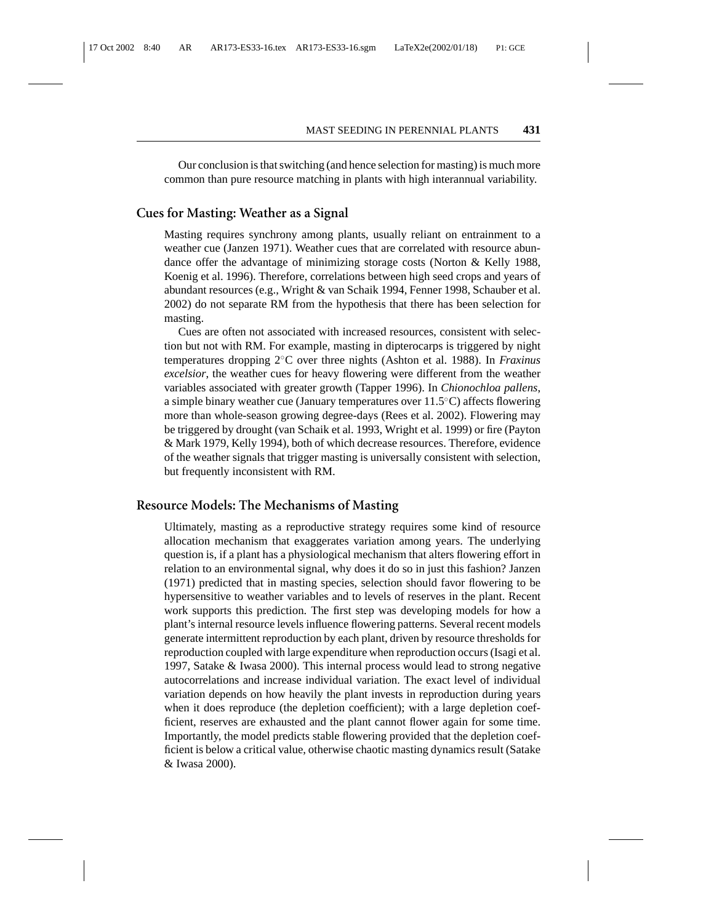Our conclusion is that switching (and hence selection for masting) is much more common than pure resource matching in plants with high interannual variability.

#### **Cues for Masting: Weather as a Signal**

Masting requires synchrony among plants, usually reliant on entrainment to a weather cue (Janzen 1971). Weather cues that are correlated with resource abundance offer the advantage of minimizing storage costs (Norton & Kelly 1988, Koenig et al. 1996). Therefore, correlations between high seed crops and years of abundant resources (e.g., Wright & van Schaik 1994, Fenner 1998, Schauber et al. 2002) do not separate RM from the hypothesis that there has been selection for masting.

Cues are often not associated with increased resources, consistent with selection but not with RM. For example, masting in dipterocarps is triggered by night temperatures dropping 2◦C over three nights (Ashton et al. 1988). In *Fraxinus excelsior*, the weather cues for heavy flowering were different from the weather variables associated with greater growth (Tapper 1996). In *Chionochloa pallens*, a simple binary weather cue (January temperatures over 11.5◦C) affects flowering more than whole-season growing degree-days (Rees et al. 2002). Flowering may be triggered by drought (van Schaik et al. 1993, Wright et al. 1999) or fire (Payton & Mark 1979, Kelly 1994), both of which decrease resources. Therefore, evidence of the weather signals that trigger masting is universally consistent with selection, but frequently inconsistent with RM.

#### **Resource Models: The Mechanisms of Masting**

Ultimately, masting as a reproductive strategy requires some kind of resource allocation mechanism that exaggerates variation among years. The underlying question is, if a plant has a physiological mechanism that alters flowering effort in relation to an environmental signal, why does it do so in just this fashion? Janzen (1971) predicted that in masting species, selection should favor flowering to be hypersensitive to weather variables and to levels of reserves in the plant. Recent work supports this prediction. The first step was developing models for how a plant's internal resource levels influence flowering patterns. Several recent models generate intermittent reproduction by each plant, driven by resource thresholds for reproduction coupled with large expenditure when reproduction occurs (Isagi et al. 1997, Satake & Iwasa 2000). This internal process would lead to strong negative autocorrelations and increase individual variation. The exact level of individual variation depends on how heavily the plant invests in reproduction during years when it does reproduce (the depletion coefficient); with a large depletion coefficient, reserves are exhausted and the plant cannot flower again for some time. Importantly, the model predicts stable flowering provided that the depletion coefficient is below a critical value, otherwise chaotic masting dynamics result (Satake & Iwasa 2000).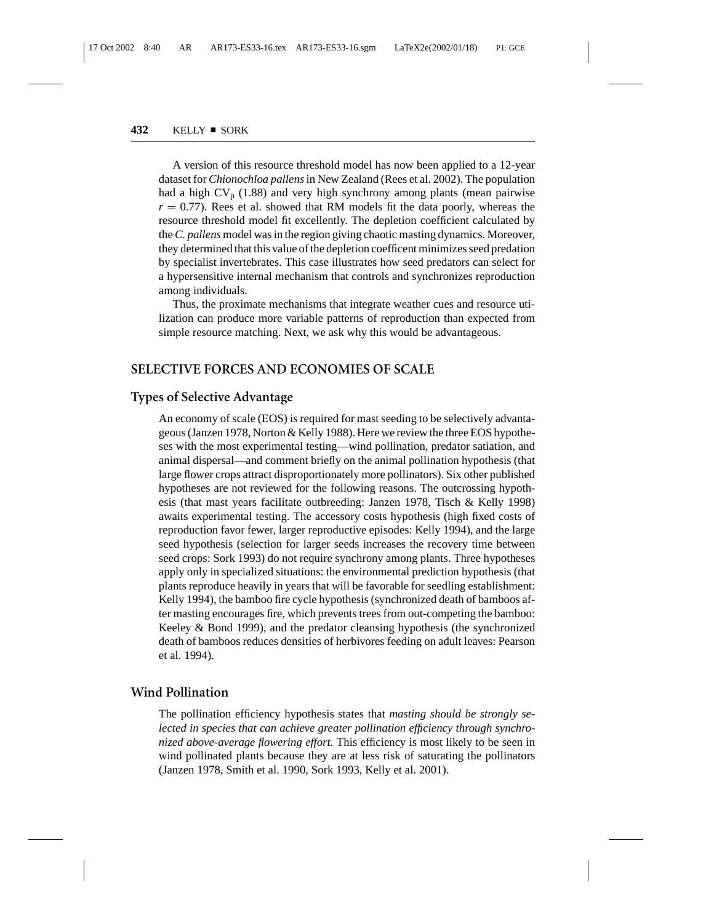A version of this resource threshold model has now been applied to a 12-year dataset for *Chionochloa pallens*in New Zealand (Rees et al. 2002). The population had a high  $CV_p$  (1.88) and very high synchrony among plants (mean pairwise  $r = 0.77$ ). Rees et al. showed that RM models fit the data poorly, whereas the resource threshold model fit excellently. The depletion coefficient calculated by the*C. pallens* model was in the region giving chaotic masting dynamics. Moreover, they determined that this value of the depletion coefficent minimizes seed predation by specialist invertebrates. This case illustrates how seed predators can select for a hypersensitive internal mechanism that controls and synchronizes reproduction among individuals.

Thus, the proximate mechanisms that integrate weather cues and resource utilization can produce more variable patterns of reproduction than expected from simple resource matching. Next, we ask why this would be advantageous.

## **SELECTIVE FORCES AND ECONOMIES OF SCALE**

## **Types of Selective Advantage**

An economy of scale (EOS) is required for mast seeding to be selectively advantageous (Janzen 1978, Norton & Kelly 1988). Here we review the three EOS hypotheses with the most experimental testing—wind pollination, predator satiation, and animal dispersal—and comment briefly on the animal pollination hypothesis (that large flower crops attract disproportionately more pollinators). Six other published hypotheses are not reviewed for the following reasons. The outcrossing hypothesis (that mast years facilitate outbreeding: Janzen 1978, Tisch & Kelly 1998) awaits experimental testing. The accessory costs hypothesis (high fixed costs of reproduction favor fewer, larger reproductive episodes: Kelly 1994), and the large seed hypothesis (selection for larger seeds increases the recovery time between seed crops: Sork 1993) do not require synchrony among plants. Three hypotheses apply only in specialized situations: the environmental prediction hypothesis (that plants reproduce heavily in years that will be favorable for seedling establishment: Kelly 1994), the bamboo fire cycle hypothesis (synchronized death of bamboos after masting encourages fire, which prevents trees from out-competing the bamboo: Keeley & Bond 1999), and the predator cleansing hypothesis (the synchronized death of bamboos reduces densities of herbivores feeding on adult leaves: Pearson et al. 1994).

## **Wind Pollination**

The pollination efficiency hypothesis states that *masting should be strongly selected in species that can achieve greater pollination efficiency through synchronized above-average flowering effort.* This efficiency is most likely to be seen in wind pollinated plants because they are at less risk of saturating the pollinators (Janzen 1978, Smith et al. 1990, Sork 1993, Kelly et al. 2001).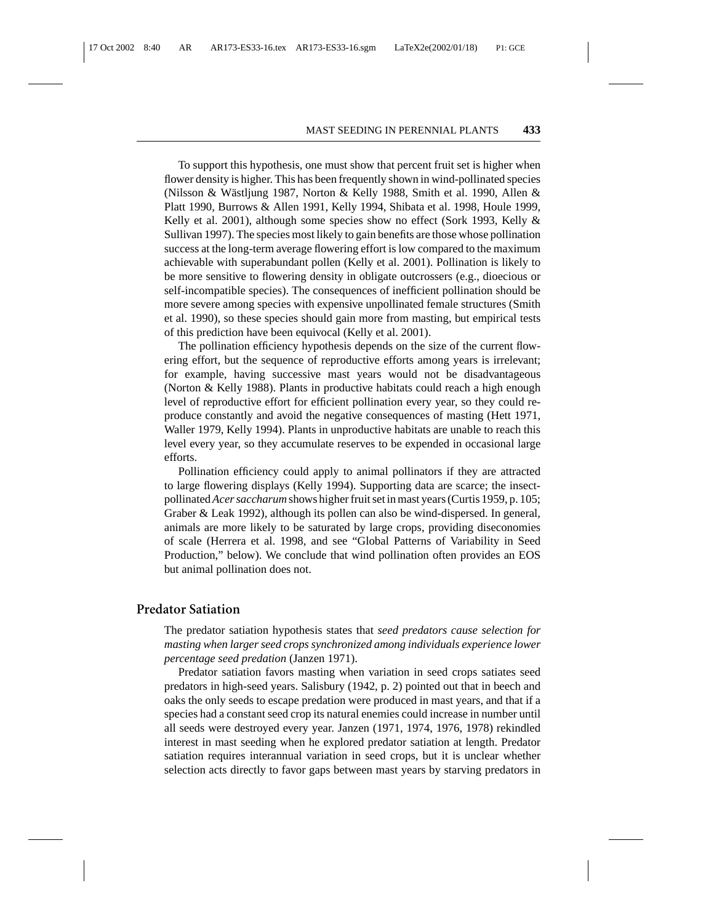To support this hypothesis, one must show that percent fruit set is higher when flower density is higher. This has been frequently shown in wind-pollinated species (Nilsson & Wästljung 1987, Norton & Kelly 1988, Smith et al. 1990, Allen & Platt 1990, Burrows & Allen 1991, Kelly 1994, Shibata et al. 1998, Houle 1999, Kelly et al. 2001), although some species show no effect (Sork 1993, Kelly & Sullivan 1997). The species most likely to gain benefits are those whose pollination success at the long-term average flowering effort is low compared to the maximum achievable with superabundant pollen (Kelly et al. 2001). Pollination is likely to be more sensitive to flowering density in obligate outcrossers (e.g., dioecious or self-incompatible species). The consequences of inefficient pollination should be more severe among species with expensive unpollinated female structures (Smith et al. 1990), so these species should gain more from masting, but empirical tests of this prediction have been equivocal (Kelly et al. 2001).

The pollination efficiency hypothesis depends on the size of the current flowering effort, but the sequence of reproductive efforts among years is irrelevant; for example, having successive mast years would not be disadvantageous (Norton & Kelly 1988). Plants in productive habitats could reach a high enough level of reproductive effort for efficient pollination every year, so they could reproduce constantly and avoid the negative consequences of masting (Hett 1971, Waller 1979, Kelly 1994). Plants in unproductive habitats are unable to reach this level every year, so they accumulate reserves to be expended in occasional large efforts.

Pollination efficiency could apply to animal pollinators if they are attracted to large flowering displays (Kelly 1994). Supporting data are scarce; the insectpollinated*Acer saccharum* shows higher fruit set in mast years (Curtis 1959, p. 105; Graber & Leak 1992), although its pollen can also be wind-dispersed. In general, animals are more likely to be saturated by large crops, providing diseconomies of scale (Herrera et al. 1998, and see "Global Patterns of Variability in Seed Production," below). We conclude that wind pollination often provides an EOS but animal pollination does not.

## **Predator Satiation**

The predator satiation hypothesis states that *seed predators cause selection for masting when larger seed crops synchronized among individuals experience lower percentage seed predation* (Janzen 1971).

Predator satiation favors masting when variation in seed crops satiates seed predators in high-seed years. Salisbury (1942, p. 2) pointed out that in beech and oaks the only seeds to escape predation were produced in mast years, and that if a species had a constant seed crop its natural enemies could increase in number until all seeds were destroyed every year. Janzen (1971, 1974, 1976, 1978) rekindled interest in mast seeding when he explored predator satiation at length. Predator satiation requires interannual variation in seed crops, but it is unclear whether selection acts directly to favor gaps between mast years by starving predators in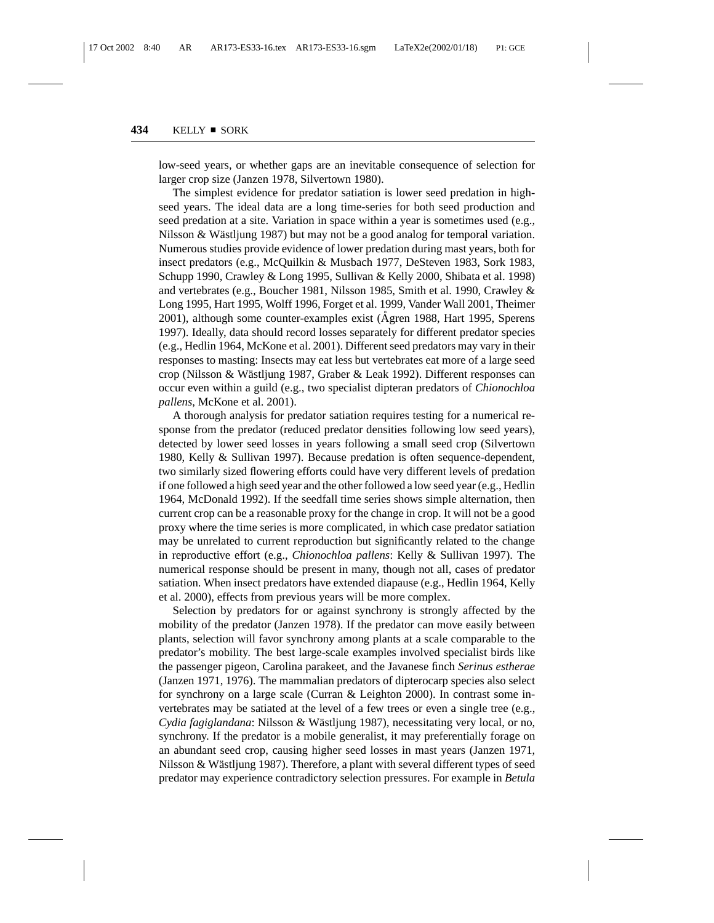low-seed years, or whether gaps are an inevitable consequence of selection for larger crop size (Janzen 1978, Silvertown 1980).

The simplest evidence for predator satiation is lower seed predation in highseed years. The ideal data are a long time-series for both seed production and seed predation at a site. Variation in space within a year is sometimes used (e.g., Nilsson  $& W$ ästljung 1987) but may not be a good analog for temporal variation. Numerous studies provide evidence of lower predation during mast years, both for insect predators (e.g., McQuilkin & Musbach 1977, DeSteven 1983, Sork 1983, Schupp 1990, Crawley & Long 1995, Sullivan & Kelly 2000, Shibata et al. 1998) and vertebrates (e.g., Boucher 1981, Nilsson 1985, Smith et al. 1990, Crawley & Long 1995, Hart 1995, Wolff 1996, Forget et al. 1999, Vander Wall 2001, Theimer 2001), although some counter-examples exist (Agren 1988, Hart 1995, Sperens 1997). Ideally, data should record losses separately for different predator species (e.g., Hedlin 1964, McKone et al. 2001). Different seed predators may vary in their responses to masting: Insects may eat less but vertebrates eat more of a large seed crop (Nilsson & Wästljung 1987, Graber & Leak 1992). Different responses can occur even within a guild (e.g., two specialist dipteran predators of *Chionochloa pallens*, McKone et al. 2001).

A thorough analysis for predator satiation requires testing for a numerical response from the predator (reduced predator densities following low seed years), detected by lower seed losses in years following a small seed crop (Silvertown 1980, Kelly & Sullivan 1997). Because predation is often sequence-dependent, two similarly sized flowering efforts could have very different levels of predation if one followed a high seed year and the other followed a low seed year (e.g., Hedlin 1964, McDonald 1992). If the seedfall time series shows simple alternation, then current crop can be a reasonable proxy for the change in crop. It will not be a good proxy where the time series is more complicated, in which case predator satiation may be unrelated to current reproduction but significantly related to the change in reproductive effort (e.g., *Chionochloa pallens*: Kelly & Sullivan 1997). The numerical response should be present in many, though not all, cases of predator satiation. When insect predators have extended diapause (e.g., Hedlin 1964, Kelly et al. 2000), effects from previous years will be more complex.

Selection by predators for or against synchrony is strongly affected by the mobility of the predator (Janzen 1978). If the predator can move easily between plants, selection will favor synchrony among plants at a scale comparable to the predator's mobility. The best large-scale examples involved specialist birds like the passenger pigeon, Carolina parakeet, and the Javanese finch *Serinus estherae* (Janzen 1971, 1976). The mammalian predators of dipterocarp species also select for synchrony on a large scale (Curran & Leighton 2000). In contrast some invertebrates may be satiated at the level of a few trees or even a single tree (e.g., *Cydia fagiglandana*: Nilsson & Wästljung 1987), necessitating very local, or no, synchrony. If the predator is a mobile generalist, it may preferentially forage on an abundant seed crop, causing higher seed losses in mast years (Janzen 1971, Nilsson  $&$  Wästljung 1987). Therefore, a plant with several different types of seed predator may experience contradictory selection pressures. For example in *Betula*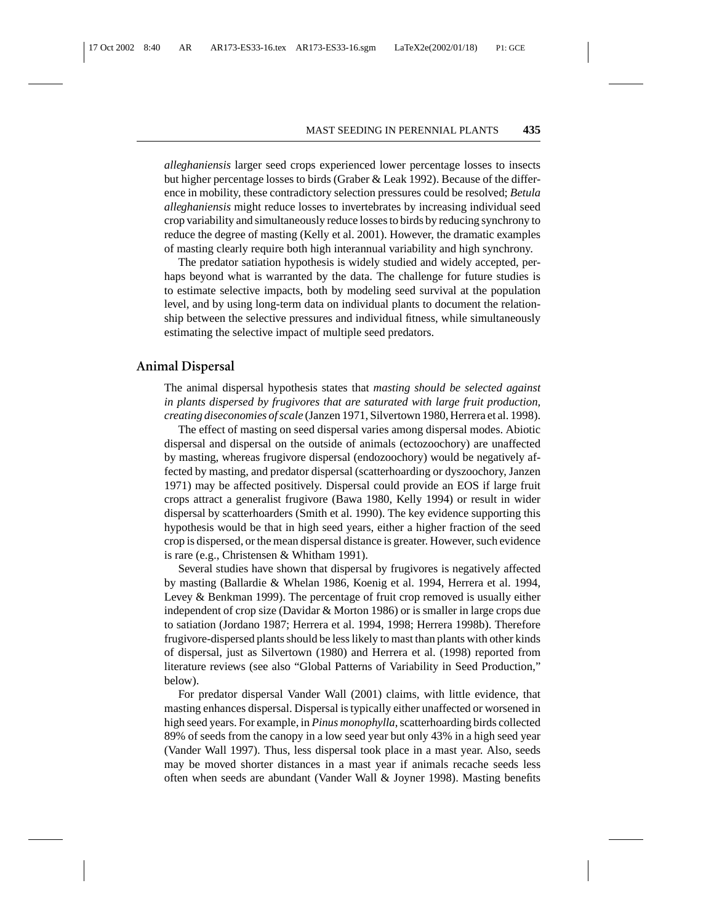*alleghaniensis* larger seed crops experienced lower percentage losses to insects but higher percentage losses to birds (Graber & Leak 1992). Because of the difference in mobility, these contradictory selection pressures could be resolved; *Betula alleghaniensis* might reduce losses to invertebrates by increasing individual seed crop variability and simultaneously reduce losses to birds by reducing synchrony to reduce the degree of masting (Kelly et al. 2001). However, the dramatic examples of masting clearly require both high interannual variability and high synchrony.

The predator satiation hypothesis is widely studied and widely accepted, perhaps beyond what is warranted by the data. The challenge for future studies is to estimate selective impacts, both by modeling seed survival at the population level, and by using long-term data on individual plants to document the relationship between the selective pressures and individual fitness, while simultaneously estimating the selective impact of multiple seed predators.

#### **Animal Dispersal**

The animal dispersal hypothesis states that *masting should be selected against in plants dispersed by frugivores that are saturated with large fruit production, creating diseconomies of scale* (Janzen 1971, Silvertown 1980, Herrera et al. 1998).

The effect of masting on seed dispersal varies among dispersal modes. Abiotic dispersal and dispersal on the outside of animals (ectozoochory) are unaffected by masting, whereas frugivore dispersal (endozoochory) would be negatively affected by masting, and predator dispersal (scatterhoarding or dyszoochory, Janzen 1971) may be affected positively. Dispersal could provide an EOS if large fruit crops attract a generalist frugivore (Bawa 1980, Kelly 1994) or result in wider dispersal by scatterhoarders (Smith et al. 1990). The key evidence supporting this hypothesis would be that in high seed years, either a higher fraction of the seed crop is dispersed, or the mean dispersal distance is greater. However, such evidence is rare (e.g., Christensen & Whitham 1991).

Several studies have shown that dispersal by frugivores is negatively affected by masting (Ballardie & Whelan 1986, Koenig et al. 1994, Herrera et al. 1994, Levey & Benkman 1999). The percentage of fruit crop removed is usually either independent of crop size (Davidar & Morton 1986) or is smaller in large crops due to satiation (Jordano 1987; Herrera et al. 1994, 1998; Herrera 1998b). Therefore frugivore-dispersed plants should be less likely to mast than plants with other kinds of dispersal, just as Silvertown (1980) and Herrera et al. (1998) reported from literature reviews (see also "Global Patterns of Variability in Seed Production," below).

For predator dispersal Vander Wall (2001) claims, with little evidence, that masting enhances dispersal. Dispersal is typically either unaffected or worsened in high seed years. For example, in *Pinus monophylla*, scatterhoarding birds collected 89% of seeds from the canopy in a low seed year but only 43% in a high seed year (Vander Wall 1997). Thus, less dispersal took place in a mast year. Also, seeds may be moved shorter distances in a mast year if animals recache seeds less often when seeds are abundant (Vander Wall & Joyner 1998). Masting benefits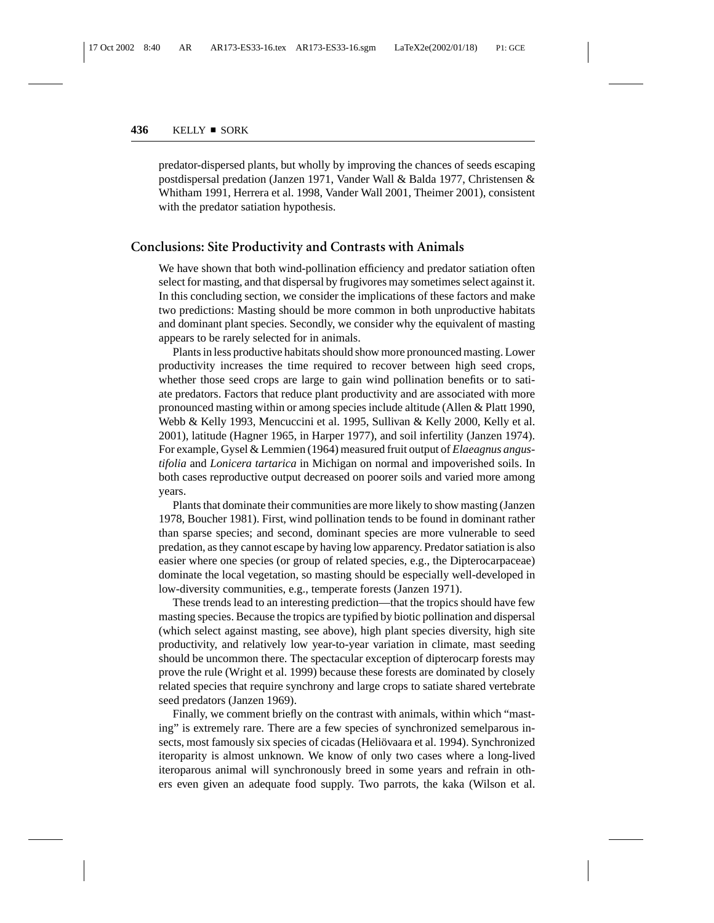predator-dispersed plants, but wholly by improving the chances of seeds escaping postdispersal predation (Janzen 1971, Vander Wall & Balda 1977, Christensen & Whitham 1991, Herrera et al. 1998, Vander Wall 2001, Theimer 2001), consistent with the predator satiation hypothesis.

## **Conclusions: Site Productivity and Contrasts with Animals**

We have shown that both wind-pollination efficiency and predator satiation often select for masting, and that dispersal by frugivores may sometimes select against it. In this concluding section, we consider the implications of these factors and make two predictions: Masting should be more common in both unproductive habitats and dominant plant species. Secondly, we consider why the equivalent of masting appears to be rarely selected for in animals.

Plants in less productive habitats should show more pronounced masting. Lower productivity increases the time required to recover between high seed crops, whether those seed crops are large to gain wind pollination benefits or to satiate predators. Factors that reduce plant productivity and are associated with more pronounced masting within or among species include altitude (Allen & Platt 1990, Webb & Kelly 1993, Mencuccini et al. 1995, Sullivan & Kelly 2000, Kelly et al. 2001), latitude (Hagner 1965, in Harper 1977), and soil infertility (Janzen 1974). For example, Gysel & Lemmien (1964) measured fruit output of *Elaeagnus angustifolia* and *Lonicera tartarica* in Michigan on normal and impoverished soils. In both cases reproductive output decreased on poorer soils and varied more among years.

Plants that dominate their communities are more likely to show masting (Janzen 1978, Boucher 1981). First, wind pollination tends to be found in dominant rather than sparse species; and second, dominant species are more vulnerable to seed predation, as they cannot escape by having low apparency. Predator satiation is also easier where one species (or group of related species, e.g., the Dipterocarpaceae) dominate the local vegetation, so masting should be especially well-developed in low-diversity communities, e.g., temperate forests (Janzen 1971).

These trends lead to an interesting prediction—that the tropics should have few masting species. Because the tropics are typified by biotic pollination and dispersal (which select against masting, see above), high plant species diversity, high site productivity, and relatively low year-to-year variation in climate, mast seeding should be uncommon there. The spectacular exception of dipterocarp forests may prove the rule (Wright et al. 1999) because these forests are dominated by closely related species that require synchrony and large crops to satiate shared vertebrate seed predators (Janzen 1969).

Finally, we comment briefly on the contrast with animals, within which "masting" is extremely rare. There are a few species of synchronized semelparous insects, most famously six species of cicadas (Heliövaara et al. 1994). Synchronized iteroparity is almost unknown. We know of only two cases where a long-lived iteroparous animal will synchronously breed in some years and refrain in others even given an adequate food supply. Two parrots, the kaka (Wilson et al.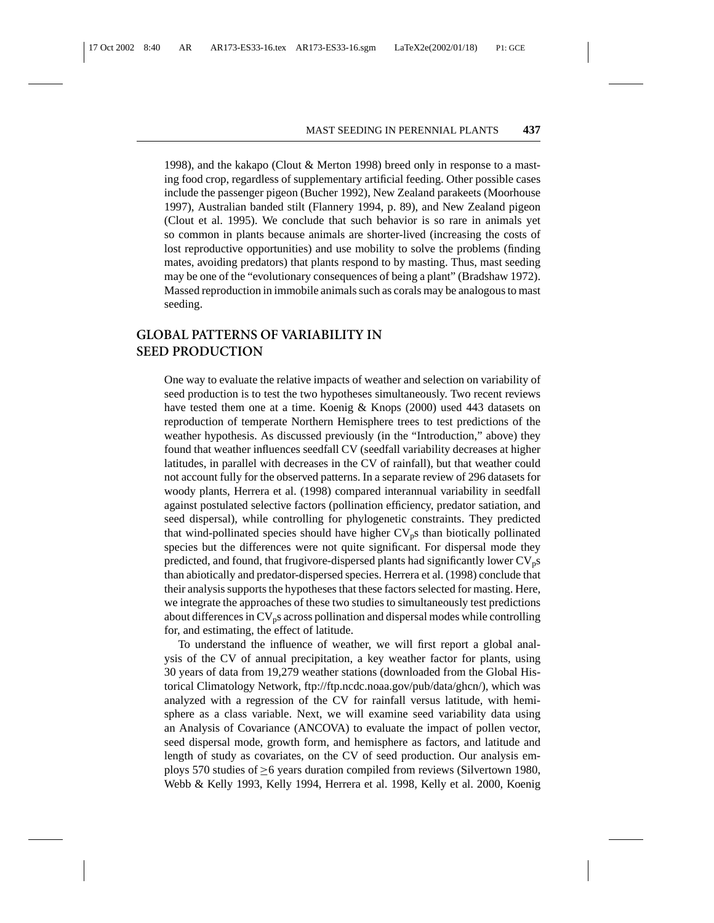1998), and the kakapo (Clout & Merton 1998) breed only in response to a masting food crop, regardless of supplementary artificial feeding. Other possible cases include the passenger pigeon (Bucher 1992), New Zealand parakeets (Moorhouse 1997), Australian banded stilt (Flannery 1994, p. 89), and New Zealand pigeon (Clout et al. 1995). We conclude that such behavior is so rare in animals yet so common in plants because animals are shorter-lived (increasing the costs of lost reproductive opportunities) and use mobility to solve the problems (finding mates, avoiding predators) that plants respond to by masting. Thus, mast seeding may be one of the "evolutionary consequences of being a plant" (Bradshaw 1972). Massed reproduction in immobile animals such as corals may be analogous to mast seeding.

## **GLOBAL PATTERNS OF VARIABILITY IN SEED PRODUCTION**

One way to evaluate the relative impacts of weather and selection on variability of seed production is to test the two hypotheses simultaneously. Two recent reviews have tested them one at a time. Koenig & Knops (2000) used 443 datasets on reproduction of temperate Northern Hemisphere trees to test predictions of the weather hypothesis. As discussed previously (in the "Introduction," above) they found that weather influences seedfall CV (seedfall variability decreases at higher latitudes, in parallel with decreases in the CV of rainfall), but that weather could not account fully for the observed patterns. In a separate review of 296 datasets for woody plants, Herrera et al. (1998) compared interannual variability in seedfall against postulated selective factors (pollination efficiency, predator satiation, and seed dispersal), while controlling for phylogenetic constraints. They predicted that wind-pollinated species should have higher  $CV_{p}$ s than biotically pollinated species but the differences were not quite significant. For dispersal mode they predicted, and found, that frugivore-dispersed plants had significantly lower  $CV_p s$ than abiotically and predator-dispersed species. Herrera et al. (1998) conclude that their analysis supports the hypotheses that these factors selected for masting. Here, we integrate the approaches of these two studies to simultaneously test predictions about differences in  $CV_p$ s across pollination and dispersal modes while controlling for, and estimating, the effect of latitude.

To understand the influence of weather, we will first report a global analysis of the CV of annual precipitation, a key weather factor for plants, using 30 years of data from 19,279 weather stations (downloaded from the Global Historical Climatology Network, ftp://ftp.ncdc.noaa.gov/pub/data/ghcn/), which was analyzed with a regression of the CV for rainfall versus latitude, with hemisphere as a class variable. Next, we will examine seed variability data using an Analysis of Covariance (ANCOVA) to evaluate the impact of pollen vector, seed dispersal mode, growth form, and hemisphere as factors, and latitude and length of study as covariates, on the CV of seed production. Our analysis employs 570 studies of ≥6 years duration compiled from reviews (Silvertown 1980, Webb & Kelly 1993, Kelly 1994, Herrera et al. 1998, Kelly et al. 2000, Koenig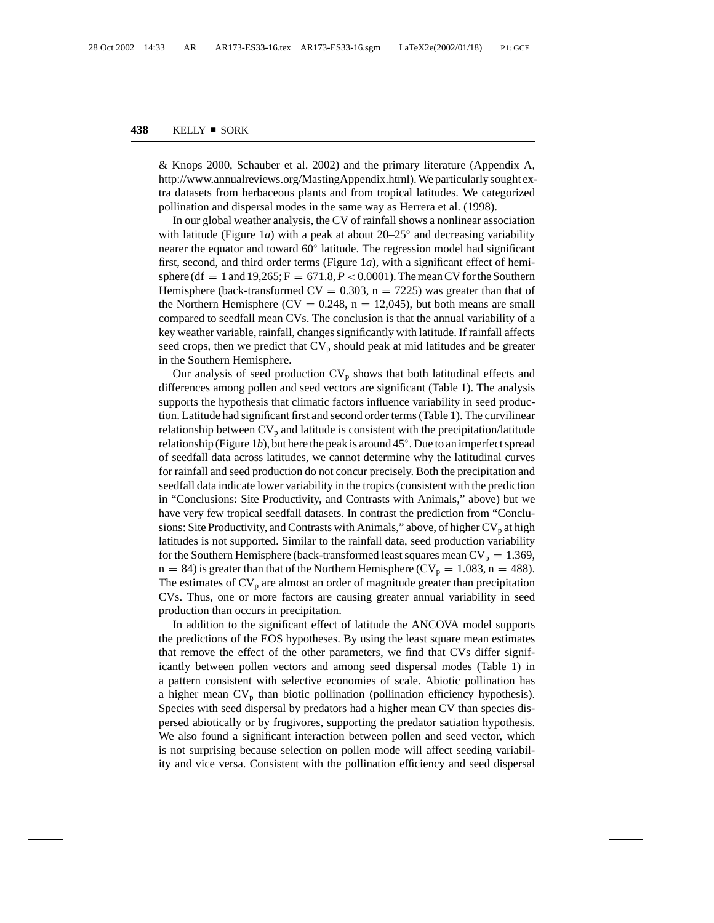& Knops 2000, Schauber et al. 2002) and the primary literature (Appendix A, http://www.annualreviews.org/MastingAppendix.html). We particularly sought extra datasets from herbaceous plants and from tropical latitudes. We categorized pollination and dispersal modes in the same way as Herrera et al. (1998).

In our global weather analysis, the CV of rainfall shows a nonlinear association with latitude (Figure 1*a*) with a peak at about 20–25◦ and decreasing variability nearer the equator and toward 60◦ latitude. The regression model had significant first, second, and third order terms (Figure 1*a*), with a significant effect of hemisphere (df  $= 1$  and  $19,265$ ;  $F = 671.8, P < 0.0001$ ). The mean CV for the Southern Hemisphere (back-transformed CV =  $0.303$ , n = 7225) was greater than that of the Northern Hemisphere (CV =  $0.248$ , n = 12,045), but both means are small compared to seedfall mean CVs. The conclusion is that the annual variability of a key weather variable, rainfall, changes significantly with latitude. If rainfall affects seed crops, then we predict that  $CV_p$  should peak at mid latitudes and be greater in the Southern Hemisphere.

Our analysis of seed production  $CV_p$  shows that both latitudinal effects and differences among pollen and seed vectors are significant (Table 1). The analysis supports the hypothesis that climatic factors influence variability in seed production. Latitude had significant first and second order terms (Table 1). The curvilinear relationship between  $CV_p$  and latitude is consistent with the precipitation/latitude relationship (Figure 1*b*), but here the peak is around 45◦. Due to an imperfect spread of seedfall data across latitudes, we cannot determine why the latitudinal curves for rainfall and seed production do not concur precisely. Both the precipitation and seedfall data indicate lower variability in the tropics (consistent with the prediction in "Conclusions: Site Productivity, and Contrasts with Animals," above) but we have very few tropical seedfall datasets. In contrast the prediction from "Conclusions: Site Productivity, and Contrasts with Animals," above, of higher  $CV_p$  at high latitudes is not supported. Similar to the rainfall data, seed production variability for the Southern Hemisphere (back-transformed least squares mean  $CV_p = 1.369$ ,  $n = 84$ ) is greater than that of the Northern Hemisphere (CV<sub>p</sub> = 1.083, n = 488). The estimates of  $CV_p$  are almost an order of magnitude greater than precipitation CVs. Thus, one or more factors are causing greater annual variability in seed production than occurs in precipitation.

In addition to the significant effect of latitude the ANCOVA model supports the predictions of the EOS hypotheses. By using the least square mean estimates that remove the effect of the other parameters, we find that CVs differ significantly between pollen vectors and among seed dispersal modes (Table 1) in a pattern consistent with selective economies of scale. Abiotic pollination has a higher mean  $CV_p$  than biotic pollination (pollination efficiency hypothesis). Species with seed dispersal by predators had a higher mean CV than species dispersed abiotically or by frugivores, supporting the predator satiation hypothesis. We also found a significant interaction between pollen and seed vector, which is not surprising because selection on pollen mode will affect seeding variability and vice versa. Consistent with the pollination efficiency and seed dispersal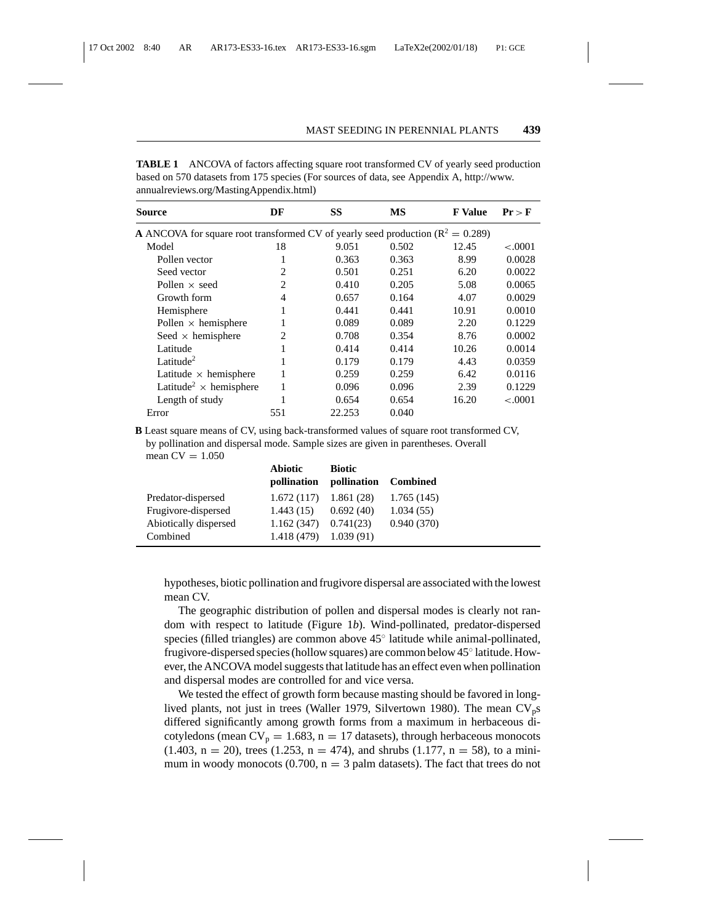| <b>Source</b>                                                                                       | DF             | <b>SS</b> | MS    | <b>F</b> Value | Pr > F  |  |  |  |  |
|-----------------------------------------------------------------------------------------------------|----------------|-----------|-------|----------------|---------|--|--|--|--|
| <b>A</b> ANCOVA for square root transformed CV of yearly seed production ( $\mathbb{R}^2 = 0.289$ ) |                |           |       |                |         |  |  |  |  |
| Model                                                                                               | 18             | 9.051     | 0.502 | 12.45          | < .0001 |  |  |  |  |
| Pollen vector                                                                                       |                | 0.363     | 0.363 | 8.99           | 0.0028  |  |  |  |  |
| Seed vector                                                                                         | 2              | 0.501     | 0.251 | 6.20           | 0.0022  |  |  |  |  |
| Pollen $\times$ seed                                                                                | 2              | 0.410     | 0.205 | 5.08           | 0.0065  |  |  |  |  |
| Growth form                                                                                         | $\overline{4}$ | 0.657     | 0.164 | 4.07           | 0.0029  |  |  |  |  |
| Hemisphere                                                                                          |                | 0.441     | 0.441 | 10.91          | 0.0010  |  |  |  |  |
| Pollen $\times$ hemisphere                                                                          |                | 0.089     | 0.089 | 2.20           | 0.1229  |  |  |  |  |
| Seed $\times$ hemisphere                                                                            | 2              | 0.708     | 0.354 | 8.76           | 0.0002  |  |  |  |  |
| Latitude                                                                                            |                | 0.414     | 0.414 | 10.26          | 0.0014  |  |  |  |  |
| Latitude <sup>2</sup>                                                                               |                | 0.179     | 0.179 | 4.43           | 0.0359  |  |  |  |  |
| Latitude $\times$ hemisphere                                                                        |                | 0.259     | 0.259 | 6.42           | 0.0116  |  |  |  |  |
| Latitude <sup>2</sup> $\times$ hemisphere                                                           |                | 0.096     | 0.096 | 2.39           | 0.1229  |  |  |  |  |
| Length of study                                                                                     |                | 0.654     | 0.654 | 16.20          | < .0001 |  |  |  |  |
| Error                                                                                               | 551            | 22.253    | 0.040 |                |         |  |  |  |  |

**TABLE 1** ANCOVA of factors affecting square root transformed CV of yearly seed production based on 570 datasets from 175 species (For sources of data, see Appendix A, http://www. annualreviews.org/MastingAppendix.html)

**B** Least square means of CV, using back-transformed values of square root transformed CV, by pollination and dispersal mode. Sample sizes are given in parentheses. Overall mean  $CV = 1.050$ 

|                       | <b>Abiotic</b> | <b>Biotic</b> |            |  |
|-----------------------|----------------|---------------|------------|--|
|                       | pollination    | pollination   | Combined   |  |
| Predator-dispersed    | 1.672(117)     | 1.861 (28)    | 1.765(145) |  |
| Frugivore-dispersed   | 1.443(15)      | 0.692(40)     | 1.034(55)  |  |
| Abiotically dispersed | 1.162(347)     | 0.741(23)     | 0.940(370) |  |
| Combined              | 1.418(479)     | 1.039(91)     |            |  |

hypotheses, biotic pollination and frugivore dispersal are associated with the lowest mean CV.

The geographic distribution of pollen and dispersal modes is clearly not random with respect to latitude (Figure 1*b*). Wind-pollinated, predator-dispersed species (filled triangles) are common above  $45^{\circ}$  latitude while animal-pollinated, frugivore-dispersed species (hollow squares) are common below 45◦ latitude. However, the ANCOVA model suggests that latitude has an effect even when pollination and dispersal modes are controlled for and vice versa.

We tested the effect of growth form because masting should be favored in longlived plants, not just in trees (Waller 1979, Silvertown 1980). The mean  $CV_p s$ differed significantly among growth forms from a maximum in herbaceous dicotyledons (mean  $CV_p = 1.683$ , n = 17 datasets), through herbaceous monocots  $(1.403, n = 20)$ , trees  $(1.253, n = 474)$ , and shrubs  $(1.177, n = 58)$ , to a minimum in woody monocots (0.700,  $n = 3$  palm datasets). The fact that trees do not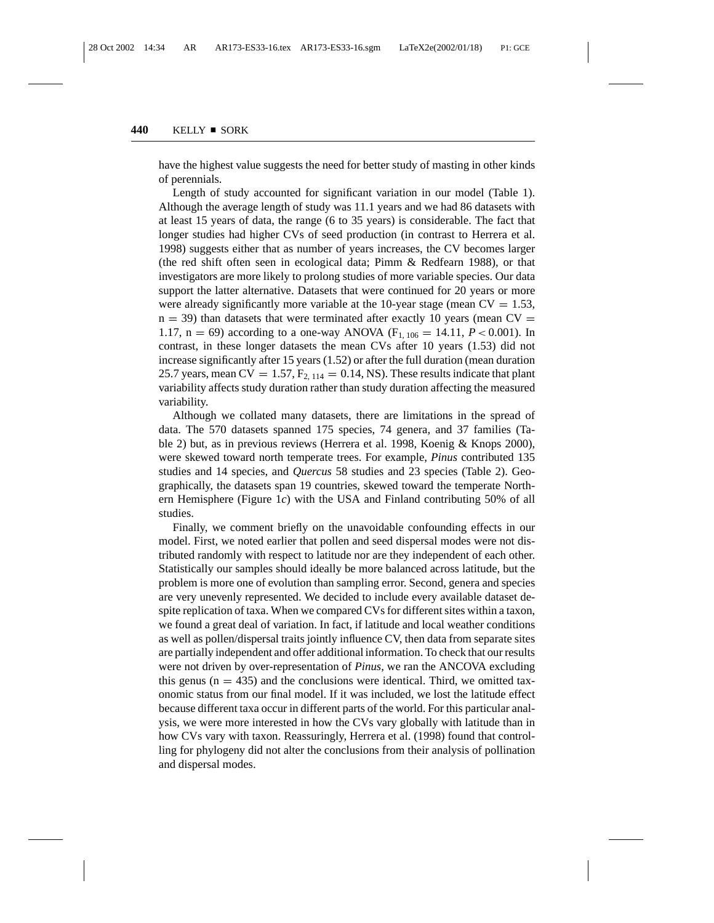have the highest value suggests the need for better study of masting in other kinds of perennials.

Length of study accounted for significant variation in our model (Table 1). Although the average length of study was 11.1 years and we had 86 datasets with at least 15 years of data, the range (6 to 35 years) is considerable. The fact that longer studies had higher CVs of seed production (in contrast to Herrera et al. 1998) suggests either that as number of years increases, the CV becomes larger (the red shift often seen in ecological data; Pimm & Redfearn 1988), or that investigators are more likely to prolong studies of more variable species. Our data support the latter alternative. Datasets that were continued for 20 years or more were already significantly more variable at the 10-year stage (mean  $CV = 1.53$ ,  $n = 39$ ) than datasets that were terminated after exactly 10 years (mean CV = 1.17, n = 69) according to a one-way ANOVA ( $F_{1, 106}$  = 14.11, *P* < 0.001). In contrast, in these longer datasets the mean CVs after 10 years (1.53) did not increase significantly after 15 years (1.52) or after the full duration (mean duration 25.7 years, mean CV =  $1.57$ ,  $F_{2,114} = 0.14$ , NS). These results indicate that plant variability affects study duration rather than study duration affecting the measured variability.

Although we collated many datasets, there are limitations in the spread of data. The 570 datasets spanned 175 species, 74 genera, and 37 families (Table 2) but, as in previous reviews (Herrera et al. 1998, Koenig & Knops 2000), were skewed toward north temperate trees. For example, *Pinus* contributed 135 studies and 14 species, and *Quercus* 58 studies and 23 species (Table 2). Geographically, the datasets span 19 countries, skewed toward the temperate Northern Hemisphere (Figure 1*c*) with the USA and Finland contributing 50% of all studies.

Finally, we comment briefly on the unavoidable confounding effects in our model. First, we noted earlier that pollen and seed dispersal modes were not distributed randomly with respect to latitude nor are they independent of each other. Statistically our samples should ideally be more balanced across latitude, but the problem is more one of evolution than sampling error. Second, genera and species are very unevenly represented. We decided to include every available dataset despite replication of taxa. When we compared CVs for different sites within a taxon, we found a great deal of variation. In fact, if latitude and local weather conditions as well as pollen/dispersal traits jointly influence CV, then data from separate sites are partially independent and offer additional information. To check that our results were not driven by over-representation of *Pinus*, we ran the ANCOVA excluding this genus ( $n = 435$ ) and the conclusions were identical. Third, we omitted taxonomic status from our final model. If it was included, we lost the latitude effect because different taxa occur in different parts of the world. For this particular analysis, we were more interested in how the CVs vary globally with latitude than in how CVs vary with taxon. Reassuringly, Herrera et al. (1998) found that controlling for phylogeny did not alter the conclusions from their analysis of pollination and dispersal modes.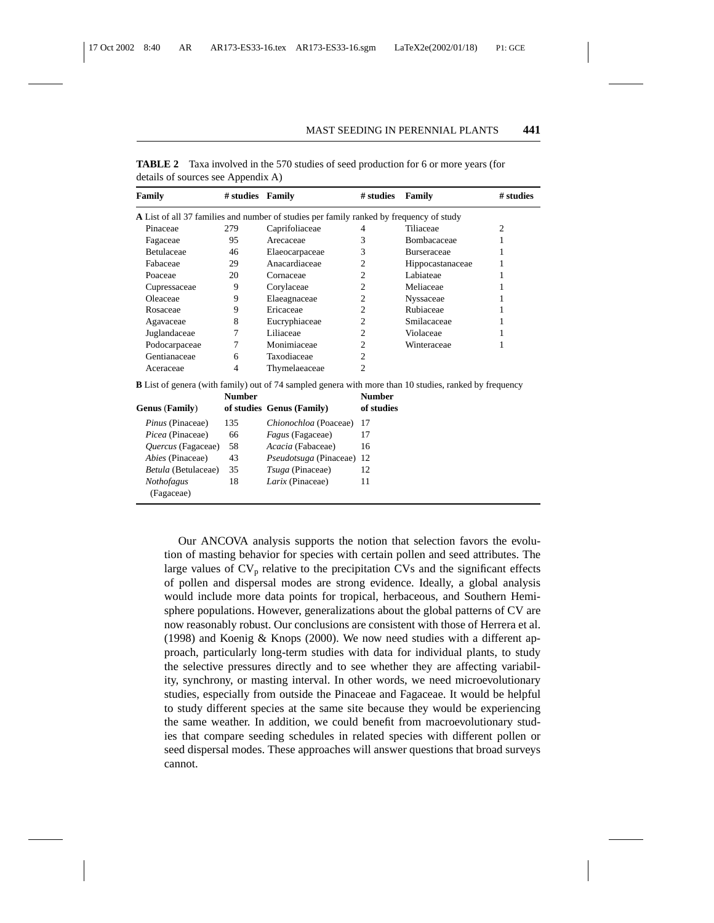| Family                                                                                  | # studies Family |                                                                                                               | # studies      | Family             | # studies      |  |  |  |
|-----------------------------------------------------------------------------------------|------------------|---------------------------------------------------------------------------------------------------------------|----------------|--------------------|----------------|--|--|--|
| A List of all 37 families and number of studies per family ranked by frequency of study |                  |                                                                                                               |                |                    |                |  |  |  |
| Pinaceae                                                                                | 279              | Caprifoliaceae                                                                                                | 4              | Tiliaceae          | $\overline{c}$ |  |  |  |
| Fagaceae                                                                                | 95               | Arecaceae                                                                                                     | 3              | Bombacaceae        | 1              |  |  |  |
| <b>Betulaceae</b>                                                                       | 46               | Elaeocarpaceae                                                                                                | 3              | <b>Burseraceae</b> | 1              |  |  |  |
| Fabaceae                                                                                | 29               | Anacardiaceae                                                                                                 | 2              | Hippocastanaceae   | 1              |  |  |  |
| Poaceae                                                                                 | 20               | Cornaceae                                                                                                     | $\overline{2}$ | Labiateae          | 1              |  |  |  |
| Cupressaceae                                                                            | 9                | Corylaceae                                                                                                    | 2              | Meliaceae          |                |  |  |  |
| Oleaceae                                                                                | 9                | Elaeagnaceae                                                                                                  | 2              | Nyssaceae          | 1              |  |  |  |
| Rosaceae                                                                                | 9                | Ericaceae                                                                                                     | $\overline{2}$ | Rubiaceae          |                |  |  |  |
| Agavaceae                                                                               | 8                | Eucryphiaceae                                                                                                 | 2              | Smilacaceae        | 1              |  |  |  |
| Juglandaceae                                                                            | 7                | Liliaceae                                                                                                     | 2              | Violaceae          | 1              |  |  |  |
| Podocarpaceae                                                                           | 7                | Monimiaceae                                                                                                   | 2              | Winteraceae        | 1              |  |  |  |
| Gentianaceae                                                                            | 6                | Taxodiaceae                                                                                                   | $\overline{c}$ |                    |                |  |  |  |
| Aceraceae                                                                               | $\overline{4}$   | Thymelaeaceae                                                                                                 | $\overline{c}$ |                    |                |  |  |  |
|                                                                                         |                  | <b>B</b> List of genera (with family) out of 74 sampled genera with more than 10 studies, ranked by frequency |                |                    |                |  |  |  |
|                                                                                         | <b>Number</b>    |                                                                                                               | <b>Number</b>  |                    |                |  |  |  |
| <b>Genus (Family)</b>                                                                   |                  | of studies Genus (Family)                                                                                     | of studies     |                    |                |  |  |  |
| Pinus (Pinaceae)                                                                        | 135              | Chionochloa (Poaceae)                                                                                         | 17             |                    |                |  |  |  |
| Picea (Pinaceae)                                                                        | 66               | Fagus (Fagaceae)                                                                                              | 17             |                    |                |  |  |  |
| Quercus (Fagaceae)                                                                      | 58               | Acacia (Fabaceae)                                                                                             | 16             |                    |                |  |  |  |
| Abies (Pinaceae)                                                                        | 43               | Pseudotsuga (Pinaceae)                                                                                        | 12             |                    |                |  |  |  |
| Betula (Betulaceae)                                                                     | 35               | Tsuga (Pinaceae)                                                                                              | 12             |                    |                |  |  |  |
| Nothofagus                                                                              | 18               | Larix (Pinaceae)                                                                                              | 11             |                    |                |  |  |  |
| (Fagaceae)                                                                              |                  |                                                                                                               |                |                    |                |  |  |  |

**TABLE 2** Taxa involved in the 570 studies of seed production for 6 or more years (for details of sources see Appendix A)

Our ANCOVA analysis supports the notion that selection favors the evolution of masting behavior for species with certain pollen and seed attributes. The large values of  $CV_p$  relative to the precipitation CVs and the significant effects of pollen and dispersal modes are strong evidence. Ideally, a global analysis would include more data points for tropical, herbaceous, and Southern Hemisphere populations. However, generalizations about the global patterns of CV are now reasonably robust. Our conclusions are consistent with those of Herrera et al. (1998) and Koenig & Knops (2000). We now need studies with a different approach, particularly long-term studies with data for individual plants, to study the selective pressures directly and to see whether they are affecting variability, synchrony, or masting interval. In other words, we need microevolutionary studies, especially from outside the Pinaceae and Fagaceae. It would be helpful to study different species at the same site because they would be experiencing the same weather. In addition, we could benefit from macroevolutionary studies that compare seeding schedules in related species with different pollen or seed dispersal modes. These approaches will answer questions that broad surveys cannot.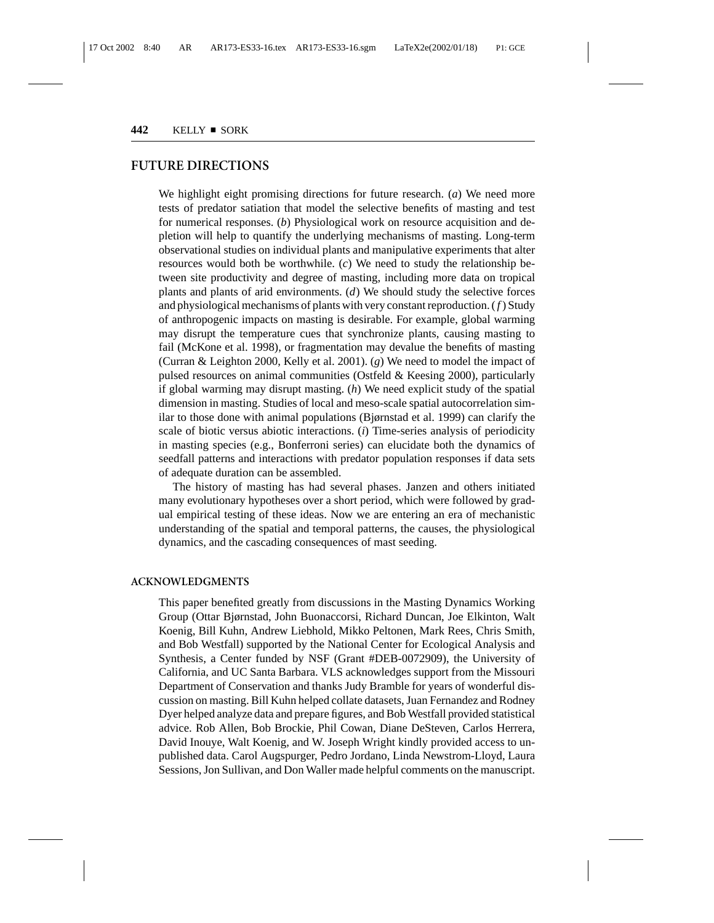## **FUTURE DIRECTIONS**

We highlight eight promising directions for future research. (*a*) We need more tests of predator satiation that model the selective benefits of masting and test for numerical responses. (*b*) Physiological work on resource acquisition and depletion will help to quantify the underlying mechanisms of masting. Long-term observational studies on individual plants and manipulative experiments that alter resources would both be worthwhile. (*c*) We need to study the relationship between site productivity and degree of masting, including more data on tropical plants and plants of arid environments. (*d*) We should study the selective forces and physiological mechanisms of plants with very constant reproduction. (*f*) Study of anthropogenic impacts on masting is desirable. For example, global warming may disrupt the temperature cues that synchronize plants, causing masting to fail (McKone et al. 1998), or fragmentation may devalue the benefits of masting (Curran & Leighton 2000, Kelly et al. 2001). (*g*) We need to model the impact of pulsed resources on animal communities (Ostfeld & Keesing 2000), particularly if global warming may disrupt masting. (*h*) We need explicit study of the spatial dimension in masting. Studies of local and meso-scale spatial autocorrelation similar to those done with animal populations (Bjørnstad et al. 1999) can clarify the scale of biotic versus abiotic interactions. (*i*) Time-series analysis of periodicity in masting species (e.g., Bonferroni series) can elucidate both the dynamics of seedfall patterns and interactions with predator population responses if data sets of adequate duration can be assembled.

The history of masting has had several phases. Janzen and others initiated many evolutionary hypotheses over a short period, which were followed by gradual empirical testing of these ideas. Now we are entering an era of mechanistic understanding of the spatial and temporal patterns, the causes, the physiological dynamics, and the cascading consequences of mast seeding.

#### **ACKNOWLEDGMENTS**

This paper benefited greatly from discussions in the Masting Dynamics Working Group (Ottar Bjørnstad, John Buonaccorsi, Richard Duncan, Joe Elkinton, Walt Koenig, Bill Kuhn, Andrew Liebhold, Mikko Peltonen, Mark Rees, Chris Smith, and Bob Westfall) supported by the National Center for Ecological Analysis and Synthesis, a Center funded by NSF (Grant #DEB-0072909), the University of California, and UC Santa Barbara. VLS acknowledges support from the Missouri Department of Conservation and thanks Judy Bramble for years of wonderful discussion on masting. Bill Kuhn helped collate datasets, Juan Fernandez and Rodney Dyer helped analyze data and prepare figures, and Bob Westfall provided statistical advice. Rob Allen, Bob Brockie, Phil Cowan, Diane DeSteven, Carlos Herrera, David Inouye, Walt Koenig, and W. Joseph Wright kindly provided access to unpublished data. Carol Augspurger, Pedro Jordano, Linda Newstrom-Lloyd, Laura Sessions, Jon Sullivan, and Don Waller made helpful comments on the manuscript.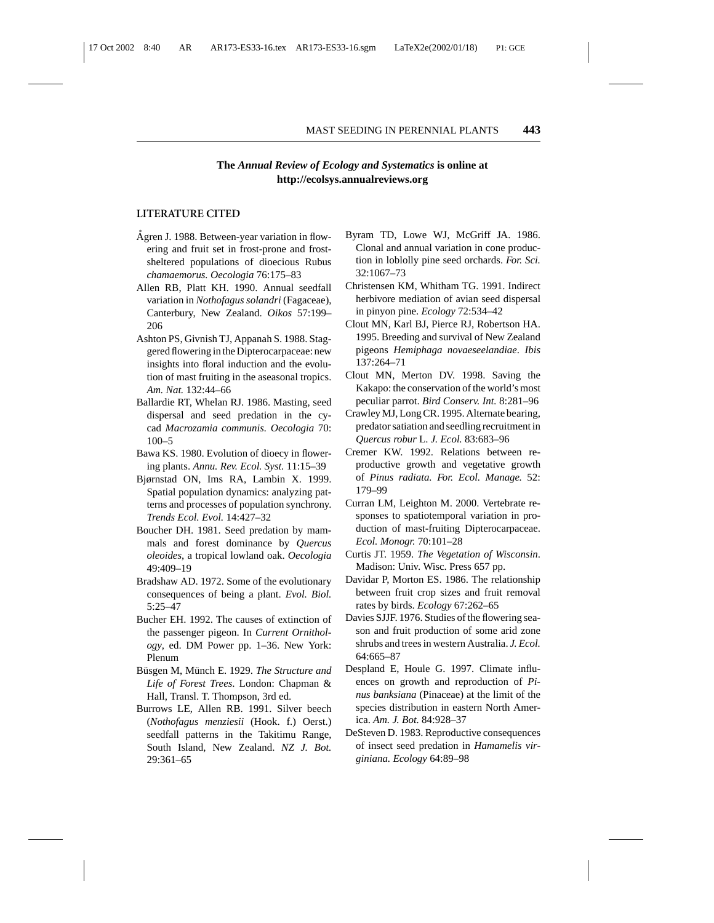#### **LITERATURE CITED**

- $\AA$ gren J. 1988. Between-year variation in flowering and fruit set in frost-prone and frostsheltered populations of dioecious Rubus *chamaemorus. Oecologia* 76:175–83
- Allen RB, Platt KH. 1990. Annual seedfall variation in *Nothofagus solandri* (Fagaceae), Canterbury, New Zealand. *Oikos* 57:199– 206
- Ashton PS, Givnish TJ, Appanah S. 1988. Staggered flowering in the Dipterocarpaceae: new insights into floral induction and the evolution of mast fruiting in the aseasonal tropics. *Am. Nat.* 132:44–66
- Ballardie RT, Whelan RJ. 1986. Masting, seed dispersal and seed predation in the cycad *Macrozamia communis. Oecologia* 70: 100–5
- Bawa KS. 1980. Evolution of dioecy in flowering plants. *Annu. Rev. Ecol. Syst.* 11:15–39
- Bjørnstad ON, Ims RA, Lambin X. 1999. Spatial population dynamics: analyzing patterns and processes of population synchrony. *Trends Ecol. Evol.* 14:427–32
- Boucher DH. 1981. Seed predation by mammals and forest dominance by *Quercus oleoides*, a tropical lowland oak. *Oecologia* 49:409–19
- Bradshaw AD. 1972. Some of the evolutionary consequences of being a plant. *Evol. Biol.* 5:25–47
- Bucher EH. 1992. The causes of extinction of the passenger pigeon. In *Current Ornithology*, ed. DM Power pp. 1–36. New York: Plenum
- Büsgen M, Münch E. 1929. *The Structure and Life of Forest Trees*. London: Chapman & Hall, Transl. T. Thompson, 3rd ed.
- Burrows LE, Allen RB. 1991. Silver beech (*Nothofagus menziesii* (Hook. f.) Oerst.) seedfall patterns in the Takitimu Range, South Island, New Zealand. *NZ J. Bot.* 29:361–65
- Byram TD, Lowe WJ, McGriff JA. 1986. Clonal and annual variation in cone production in loblolly pine seed orchards. *For. Sci.* 32:1067–73
- Christensen KM, Whitham TG. 1991. Indirect herbivore mediation of avian seed dispersal in pinyon pine. *Ecology* 72:534–42
- Clout MN, Karl BJ, Pierce RJ, Robertson HA. 1995. Breeding and survival of New Zealand pigeons *Hemiphaga novaeseelandiae*. *Ibis* 137:264–71
- Clout MN, Merton DV. 1998. Saving the Kakapo: the conservation of the world's most peculiar parrot. *Bird Conserv. Int.* 8:281–96
- Crawley MJ, Long CR. 1995. Alternate bearing, predator satiation and seedling recruitment in *Quercus robur* L. *J. Ecol.* 83:683–96
- Cremer KW. 1992. Relations between reproductive growth and vegetative growth of *Pinus radiata. For. Ecol. Manage.* 52: 179–99
- Curran LM, Leighton M. 2000. Vertebrate responses to spatiotemporal variation in production of mast-fruiting Dipterocarpaceae. *Ecol. Monogr.* 70:101–28
- Curtis JT. 1959. *The Vegetation of Wisconsin*. Madison: Univ. Wisc. Press 657 pp.
- Davidar P, Morton ES. 1986. The relationship between fruit crop sizes and fruit removal rates by birds. *Ecology* 67:262–65
- Davies SJJF. 1976. Studies of the flowering season and fruit production of some arid zone shrubs and trees in western Australia. *J. Ecol.* 64:665–87
- Despland E, Houle G. 1997. Climate influences on growth and reproduction of *Pinus banksiana* (Pinaceae) at the limit of the species distribution in eastern North America. *Am. J. Bot.* 84:928–37
- DeSteven D. 1983. Reproductive consequences of insect seed predation in *Hamamelis virginiana. Ecology* 64:89–98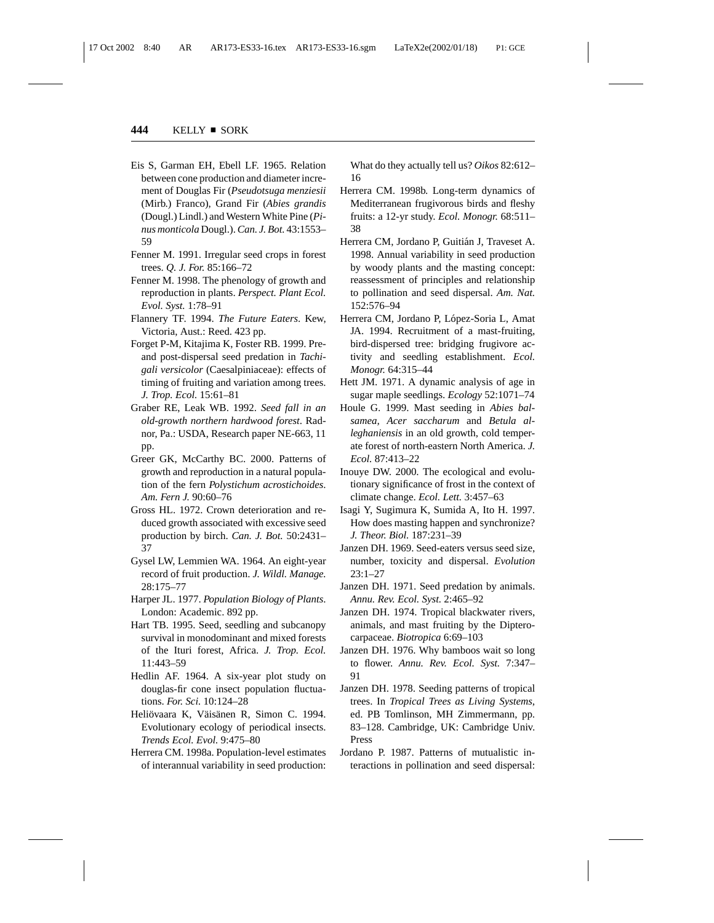- Eis S, Garman EH, Ebell LF. 1965. Relation between cone production and diameter increment of Douglas Fir (*Pseudotsuga menziesii* (Mirb.) Franco), Grand Fir (*Abies grandis* (Dougl.) Lindl.) and Western White Pine (*Pinus monticola* Dougl.).*Can. J. Bot.* 43:1553– 59
- Fenner M. 1991. Irregular seed crops in forest trees. *Q. J. For.* 85:166–72
- Fenner M. 1998. The phenology of growth and reproduction in plants. *Perspect. Plant Ecol. Evol. Syst.* 1:78–91
- Flannery TF. 1994. *The Future Eaters*. Kew, Victoria, Aust.: Reed. 423 pp.
- Forget P-M, Kitajima K, Foster RB. 1999. Preand post-dispersal seed predation in *Tachigali versicolor* (Caesalpiniaceae): effects of timing of fruiting and variation among trees. *J. Trop. Ecol.* 15:61–81
- Graber RE, Leak WB. 1992. *Seed fall in an old-growth northern hardwood forest*. Radnor, Pa.: USDA, Research paper NE-663, 11 pp.
- Greer GK, McCarthy BC. 2000. Patterns of growth and reproduction in a natural population of the fern *Polystichum acrostichoides*. *Am. Fern J.* 90:60–76
- Gross HL. 1972. Crown deterioration and reduced growth associated with excessive seed production by birch. *Can. J. Bot.* 50:2431– 37
- Gysel LW, Lemmien WA. 1964. An eight-year record of fruit production. *J. Wildl. Manage.* 28:175–77
- Harper JL. 1977. *Population Biology of Plants*. London: Academic. 892 pp.
- Hart TB. 1995. Seed, seedling and subcanopy survival in monodominant and mixed forests of the Ituri forest, Africa. *J. Trop. Ecol.* 11:443–59
- Hedlin AF. 1964. A six-year plot study on douglas-fir cone insect population fluctuations. *For. Sci.* 10:124–28
- Heliövaara K, Väisänen R, Simon C. 1994. Evolutionary ecology of periodical insects. *Trends Ecol. Evol.* 9:475–80
- Herrera CM. 1998a. Population-level estimates of interannual variability in seed production:

What do they actually tell us? *Oikos* 82:612– 16

- Herrera CM. 1998b. Long-term dynamics of Mediterranean frugivorous birds and fleshy fruits: a 12-yr study. *Ecol. Monogr.* 68:511– 38
- Herrera CM, Jordano P, Guitián J, Traveset A. 1998. Annual variability in seed production by woody plants and the masting concept: reassessment of principles and relationship to pollination and seed dispersal. *Am. Nat.* 152:576–94
- Herrera CM, Jordano P, López-Soria L, Amat JA. 1994. Recruitment of a mast-fruiting, bird-dispersed tree: bridging frugivore activity and seedling establishment. *Ecol. Monogr.* 64:315–44
- Hett JM. 1971. A dynamic analysis of age in sugar maple seedlings. *Ecology* 52:1071–74
- Houle G. 1999. Mast seeding in *Abies balsamea, Acer saccharum* and *Betula alleghaniensis* in an old growth, cold temperate forest of north-eastern North America. *J. Ecol.* 87:413–22
- Inouye DW. 2000. The ecological and evolutionary significance of frost in the context of climate change. *Ecol. Lett.* 3:457–63
- Isagi Y, Sugimura K, Sumida A, Ito H. 1997. How does masting happen and synchronize? *J. Theor. Biol.* 187:231–39
- Janzen DH. 1969. Seed-eaters versus seed size, number, toxicity and dispersal. *Evolution* 23:1–27
- Janzen DH. 1971. Seed predation by animals. *Annu. Rev. Ecol. Syst.* 2:465–92
- Janzen DH. 1974. Tropical blackwater rivers, animals, and mast fruiting by the Dipterocarpaceae. *Biotropica* 6:69–103
- Janzen DH. 1976. Why bamboos wait so long to flower. *Annu. Rev. Ecol. Syst.* 7:347– 91
- Janzen DH. 1978. Seeding patterns of tropical trees. In *Tropical Trees as Living Systems*, ed. PB Tomlinson, MH Zimmermann, pp. 83–128. Cambridge, UK: Cambridge Univ. Press
- Jordano P. 1987. Patterns of mutualistic interactions in pollination and seed dispersal: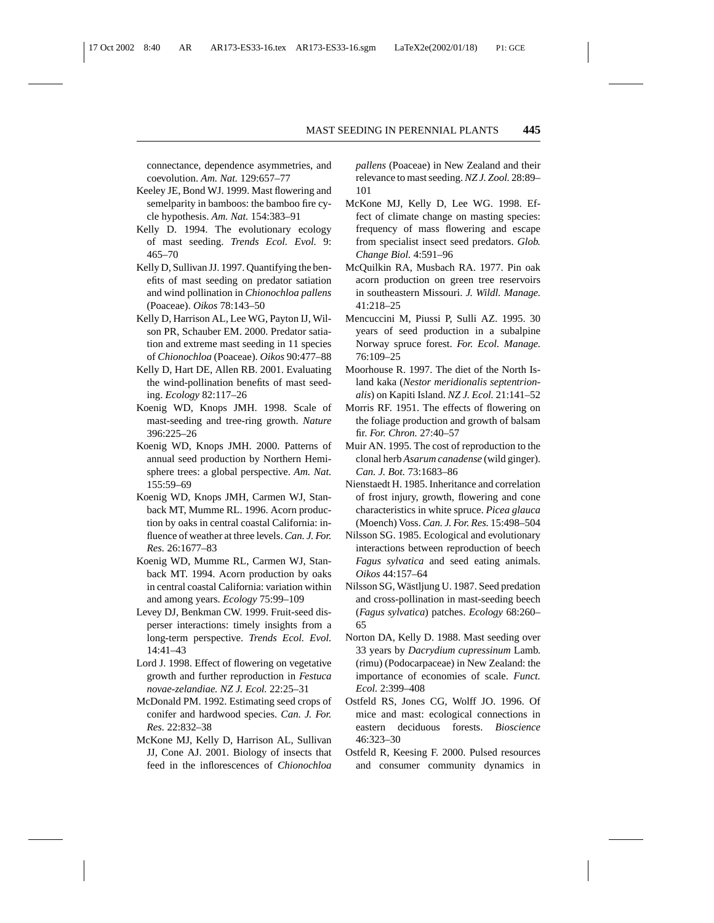connectance, dependence asymmetries, and coevolution. *Am. Nat.* 129:657–77

- Keeley JE, Bond WJ. 1999. Mast flowering and semelparity in bamboos: the bamboo fire cycle hypothesis. *Am. Nat.* 154:383–91
- Kelly D. 1994. The evolutionary ecology of mast seeding. *Trends Ecol. Evol.* 9: 465–70
- Kelly D, Sullivan JJ. 1997. Quantifying the benefits of mast seeding on predator satiation and wind pollination in *Chionochloa pallens* (Poaceae). *Oikos* 78:143–50
- Kelly D, Harrison AL, Lee WG, Payton IJ, Wilson PR, Schauber EM. 2000. Predator satiation and extreme mast seeding in 11 species of *Chionochloa* (Poaceae). *Oikos* 90:477–88
- Kelly D, Hart DE, Allen RB. 2001. Evaluating the wind-pollination benefits of mast seeding. *Ecology* 82:117–26
- Koenig WD, Knops JMH. 1998. Scale of mast-seeding and tree-ring growth. *Nature* 396:225–26
- Koenig WD, Knops JMH. 2000. Patterns of annual seed production by Northern Hemisphere trees: a global perspective. *Am. Nat.* 155:59–69
- Koenig WD, Knops JMH, Carmen WJ, Stanback MT, Mumme RL. 1996. Acorn production by oaks in central coastal California: influence of weather at three levels. *Can. J. For. Res.* 26:1677–83
- Koenig WD, Mumme RL, Carmen WJ, Stanback MT. 1994. Acorn production by oaks in central coastal California: variation within and among years. *Ecology* 75:99–109
- Levey DJ, Benkman CW. 1999. Fruit-seed disperser interactions: timely insights from a long-term perspective. *Trends Ecol. Evol.* 14:41–43
- Lord J. 1998. Effect of flowering on vegetative growth and further reproduction in *Festuca novae-zelandiae. NZ J. Ecol.* 22:25–31
- McDonald PM. 1992. Estimating seed crops of conifer and hardwood species. *Can. J. For. Res.* 22:832–38
- McKone MJ, Kelly D, Harrison AL, Sullivan JJ, Cone AJ. 2001. Biology of insects that feed in the inflorescences of *Chionochloa*

*pallens* (Poaceae) in New Zealand and their relevance to mast seeding.*NZ J. Zool.* 28:89– 101

- McKone MJ, Kelly D, Lee WG. 1998. Effect of climate change on masting species: frequency of mass flowering and escape from specialist insect seed predators. *Glob. Change Biol.* 4:591–96
- McQuilkin RA, Musbach RA. 1977. Pin oak acorn production on green tree reservoirs in southeastern Missouri. *J. Wildl. Manage.* 41:218–25
- Mencuccini M, Piussi P, Sulli AZ. 1995. 30 years of seed production in a subalpine Norway spruce forest. *For. Ecol. Manage.* 76:109–25
- Moorhouse R. 1997. The diet of the North Island kaka (*Nestor meridionalis septentrionalis*) on Kapiti Island. *NZ J. Ecol.* 21:141–52
- Morris RF. 1951. The effects of flowering on the foliage production and growth of balsam fir. *For. Chron.* 27:40–57
- Muir AN. 1995. The cost of reproduction to the clonal herb *Asarum canadense* (wild ginger). *Can. J. Bot.* 73:1683–86
- Nienstaedt H. 1985. Inheritance and correlation of frost injury, growth, flowering and cone characteristics in white spruce. *Picea glauca* (Moench) Voss. *Can. J. For. Res.* 15:498–504
- Nilsson SG. 1985. Ecological and evolutionary interactions between reproduction of beech *Fagus sylvatica* and seed eating animals. *Oikos* 44:157–64
- Nilsson SG, Wästljung U. 1987. Seed predation and cross-pollination in mast-seeding beech (*Fagus sylvatica*) patches. *Ecology* 68:260– 65
- Norton DA, Kelly D. 1988. Mast seeding over 33 years by *Dacrydium cupressinum* Lamb. (rimu) (Podocarpaceae) in New Zealand: the importance of economies of scale. *Funct. Ecol.* 2:399–408
- Ostfeld RS, Jones CG, Wolff JO. 1996. Of mice and mast: ecological connections in eastern deciduous forests. *Bioscience* 46:323–30
- Ostfeld R, Keesing F. 2000. Pulsed resources and consumer community dynamics in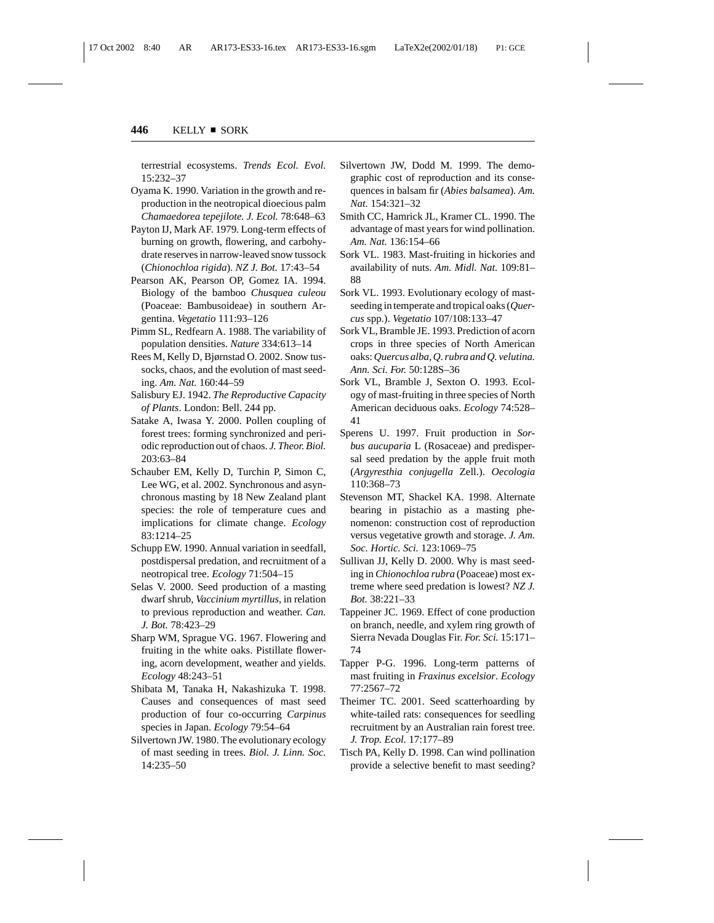terrestrial ecosystems. *Trends Ecol. Evol.* 15:232–37

- Oyama K. 1990. Variation in the growth and reproduction in the neotropical dioecious palm *Chamaedorea tepejilote. J. Ecol.* 78:648–63
- Payton IJ, Mark AF. 1979. Long-term effects of burning on growth, flowering, and carbohydrate reserves in narrow-leaved snow tussock (*Chionochloa rigida*). *NZ J. Bot.* 17:43–54
- Pearson AK, Pearson OP, Gomez IA. 1994. Biology of the bamboo *Chusquea culeou* (Poaceae: Bambusoideae) in southern Argentina. *Vegetatio* 111:93–126
- Pimm SL, Redfearn A. 1988. The variability of population densities. *Nature* 334:613–14
- Rees M, Kelly D, Bjørnstad O. 2002. Snow tussocks, chaos, and the evolution of mast seeding. *Am. Nat.* 160:44–59
- Salisbury EJ. 1942. *The Reproductive Capacity of Plants*. London: Bell. 244 pp.
- Satake A, Iwasa Y. 2000. Pollen coupling of forest trees: forming synchronized and periodic reproduction out of chaos. *J. Theor. Biol.* 203:63–84
- Schauber EM, Kelly D, Turchin P, Simon C, Lee WG, et al. 2002. Synchronous and asynchronous masting by 18 New Zealand plant species: the role of temperature cues and implications for climate change. *Ecology* 83:1214–25
- Schupp EW. 1990. Annual variation in seedfall, postdispersal predation, and recruitment of a neotropical tree. *Ecology* 71:504–15
- Selas V. 2000. Seed production of a masting dwarf shrub, *Vaccinium myrtillus*, in relation to previous reproduction and weather. *Can. J. Bot.* 78:423–29
- Sharp WM, Sprague VG. 1967. Flowering and fruiting in the white oaks. Pistillate flowering, acorn development, weather and yields. *Ecology* 48:243–51
- Shibata M, Tanaka H, Nakashizuka T. 1998. Causes and consequences of mast seed production of four co-occurring *Carpinus* species in Japan. *Ecology* 79:54–64
- Silvertown JW. 1980. The evolutionary ecology of mast seeding in trees. *Biol. J. Linn. Soc.* 14:235–50
- Silvertown JW, Dodd M. 1999. The demographic cost of reproduction and its consequences in balsam fir (*Abies balsamea*). *Am. Nat.* 154:321–32
- Smith CC, Hamrick JL, Kramer CL. 1990. The advantage of mast years for wind pollination. *Am. Nat.* 136:154–66
- Sork VL. 1983. Mast-fruiting in hickories and availability of nuts. *Am. Midl. Nat.* 109:81– 88
- Sork VL. 1993. Evolutionary ecology of mastseeding in temperate and tropical oaks (*Quercus* spp.). *Vegetatio* 107/108:133–47
- Sork VL, Bramble JE. 1993. Prediction of acorn crops in three species of North American oaks:*Quercus alba, Q. rubra and Q. velutina. Ann. Sci. For.* 50:128S–36
- Sork VL, Bramble J, Sexton O. 1993. Ecology of mast-fruiting in three species of North American deciduous oaks. *Ecology* 74:528– 41
- Sperens U. 1997. Fruit production in *Sorbus aucuparia* L (Rosaceae) and predispersal seed predation by the apple fruit moth (*Argyresthia conjugella* Zell.). *Oecologia* 110:368–73
- Stevenson MT, Shackel KA. 1998. Alternate bearing in pistachio as a masting phenomenon: construction cost of reproduction versus vegetative growth and storage. *J. Am. Soc. Hortic. Sci.* 123:1069–75
- Sullivan JJ, Kelly D. 2000. Why is mast seeding in *Chionochloa rubra* (Poaceae) most extreme where seed predation is lowest? *NZ J. Bot.* 38:221–33
- Tappeiner JC. 1969. Effect of cone production on branch, needle, and xylem ring growth of Sierra Nevada Douglas Fir. *For. Sci.* 15:171– 74
- Tapper P-G. 1996. Long-term patterns of mast fruiting in *Fraxinus excelsior*. *Ecology* 77:2567–72
- Theimer TC. 2001. Seed scatterhoarding by white-tailed rats: consequences for seedling recruitment by an Australian rain forest tree. *J. Trop. Ecol.* 17:177–89
- Tisch PA, Kelly D. 1998. Can wind pollination provide a selective benefit to mast seeding?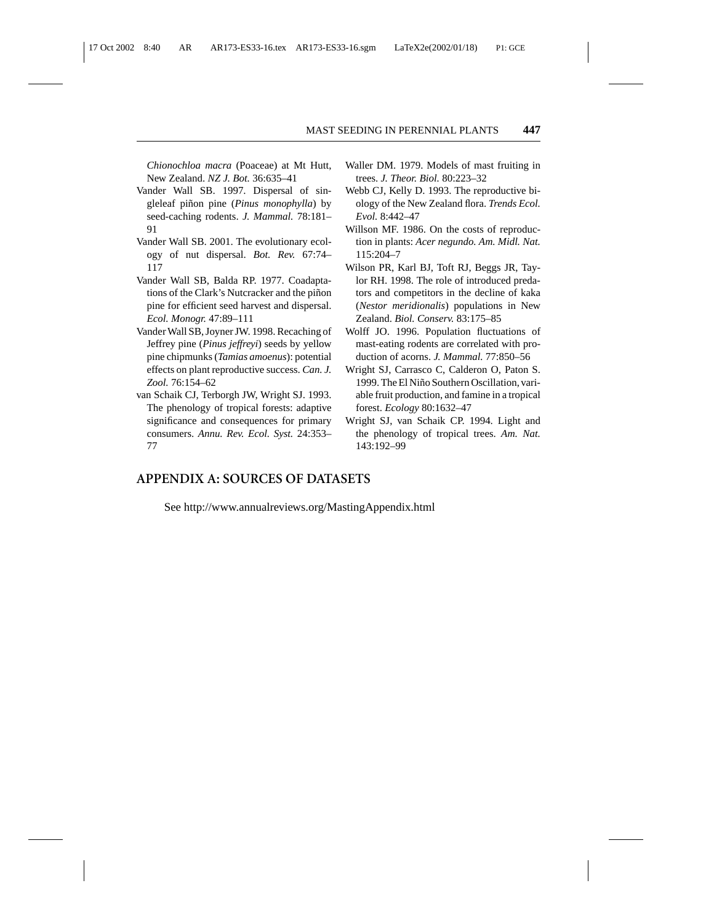*Chionochloa macra* (Poaceae) at Mt Hutt, New Zealand. *NZ J. Bot.* 36:635–41

- Vander Wall SB. 1997. Dispersal of singleleaf piñon pine (*Pinus monophylla*) by seed-caching rodents. *J. Mammal.* 78:181– 91
- Vander Wall SB. 2001. The evolutionary ecology of nut dispersal. *Bot. Rev.* 67:74– 117
- Vander Wall SB, Balda RP. 1977. Coadaptations of the Clark's Nutcracker and the piñon pine for efficient seed harvest and dispersal. *Ecol. Monogr.* 47:89–111
- Vander Wall SB, Joyner JW. 1998. Recaching of Jeffrey pine (*Pinus jeffreyi*) seeds by yellow pine chipmunks (*Tamias amoenus*): potential effects on plant reproductive success. *Can. J. Zool.* 76:154–62
- van Schaik CJ, Terborgh JW, Wright SJ. 1993. The phenology of tropical forests: adaptive significance and consequences for primary consumers. *Annu. Rev. Ecol. Syst.* 24:353– 77
- Waller DM. 1979. Models of mast fruiting in trees. *J. Theor. Biol.* 80:223–32
- Webb CJ, Kelly D. 1993. The reproductive biology of the New Zealand flora. *Trends Ecol. Evol.* 8:442–47
- Willson MF. 1986. On the costs of reproduction in plants: *Acer negundo. Am. Midl. Nat.* 115:204–7
- Wilson PR, Karl BJ, Toft RJ, Beggs JR, Taylor RH. 1998. The role of introduced predators and competitors in the decline of kaka (*Nestor meridionalis*) populations in New Zealand. *Biol. Conserv.* 83:175–85
- Wolff JO. 1996. Population fluctuations of mast-eating rodents are correlated with production of acorns. *J. Mammal.* 77:850–56
- Wright SJ, Carrasco C, Calderon O, Paton S. 1999. The El Niño Southern Oscillation, variable fruit production, and famine in a tropical forest. *Ecology* 80:1632–47
- Wright SJ, van Schaik CP. 1994. Light and the phenology of tropical trees. *Am. Nat.* 143:192–99

## **APPENDIX A: SOURCES OF DATASETS**

See http://www.annualreviews.org/MastingAppendix.html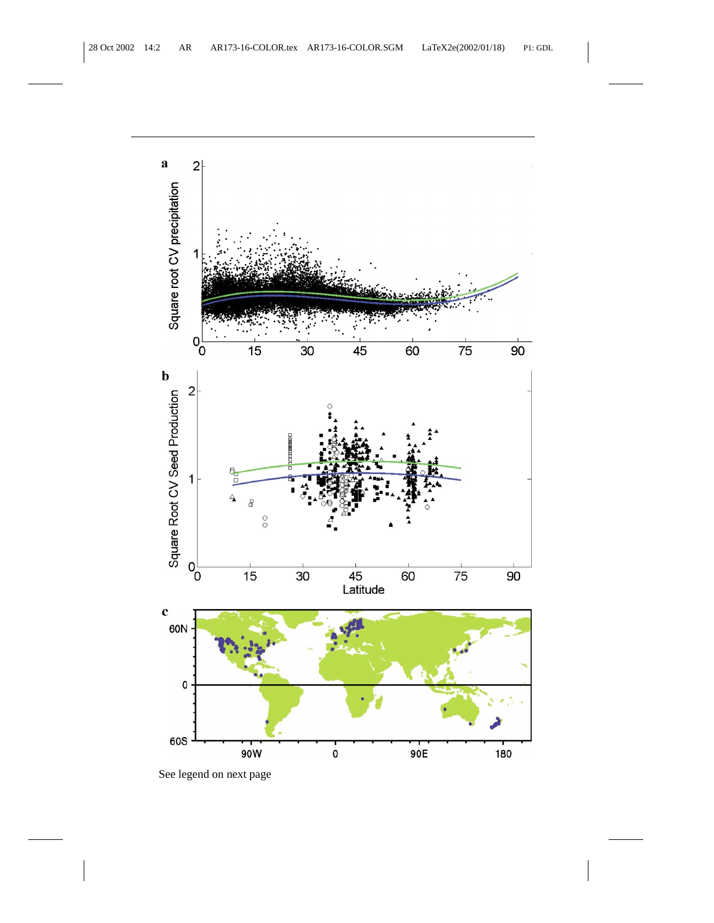

See legend on next page